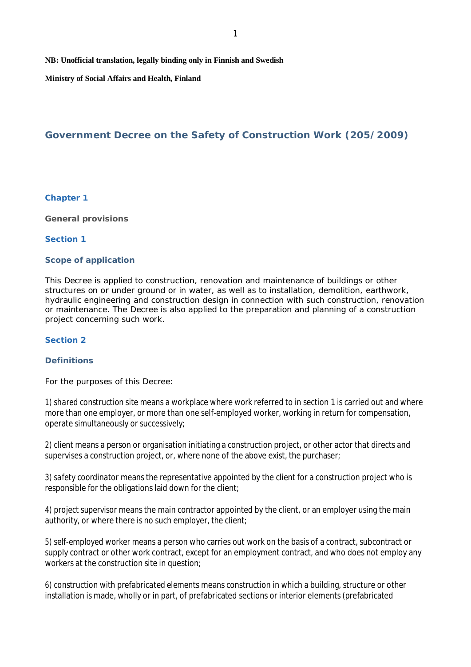**NB: Unofficial translation, legally binding only in Finnish and Swedish**

**Ministry of Social Affairs and Health, Finland**

# **Government Decree on the Safety of Construction Work (205/2009)**

## **Chapter 1**

**General provisions**

### **Section 1**

## **Scope of application**

This Decree is applied to construction, renovation and maintenance of buildings or other structures on or under ground or in water, as well as to installation, demolition, earthwork, hydraulic engineering and construction design in connection with such construction, renovation or maintenance. The Decree is also applied to the preparation and planning of a construction project concerning such work.

## **Section 2**

## **Definitions**

For the purposes of this Decree:

1) *shared construction site* means a workplace where work referred to in section 1 is carried out and where more than one employer, or more than one self-employed worker, working in return for compensation, operate simultaneously or successively;

2) *client* means a person or organisation initiating a construction project, or other actor that directs and supervises a construction project, or, where none of the above exist, the purchaser;

3) *safety coordinator* means the representative appointed by the client for a construction project who is responsible for the obligations laid down for the client;

4) *project supervisor* means the main contractor appointed by the client, or an employer using the main authority, or where there is no such employer, the client;

5) *self-employed worker* means a person who carries out work on the basis of a contract, subcontract or supply contract or other work contract, except for an employment contract, and who does not employ any workers at the construction site in question;

6) *construction with prefabricated elements* means construction in which a building, structure or other installation is made, wholly or in part, of prefabricated sections or interior elements (prefabricated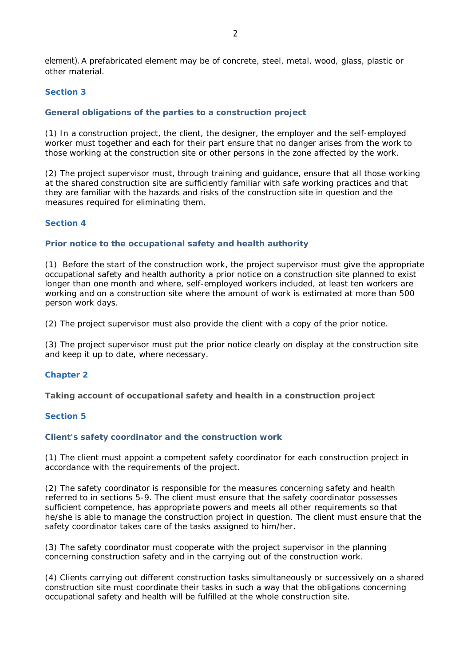element). A prefabricated element may be of concrete, steel, metal, wood, glass, plastic or other material.

# **Section 3**

# **General obligations of the parties to a construction project**

(1) In a construction project, the client, the designer, the employer and the self-employed worker must together and each for their part ensure that no danger arises from the work to those working at the construction site or other persons in the zone affected by the work.

(2) The project supervisor must, through training and guidance, ensure that all those working at the shared construction site are sufficiently familiar with safe working practices and that they are familiar with the hazards and risks of the construction site in question and the measures required for eliminating them.

# **Section 4**

## **Prior notice to the occupational safety and health authority**

(1) Before the start of the construction work, the project supervisor must give the appropriate occupational safety and health authority a prior notice on a construction site planned to exist longer than one month and where, self-employed workers included, at least ten workers are working and on a construction site where the amount of work is estimated at more than 500 person work days.

(2) The project supervisor must also provide the client with a copy of the prior notice.

(3) The project supervisor must put the prior notice clearly on display at the construction site and keep it up to date, where necessary.

## **Chapter 2**

**Taking account of occupational safety and health in a construction project**

### **Section 5**

#### **Client's safety coordinator and the construction work**

(1) The client must appoint a competent safety coordinator for each construction project in accordance with the requirements of the project.

(2) The safety coordinator is responsible for the measures concerning safety and health referred to in sections 5-9. The client must ensure that the safety coordinator possesses sufficient competence, has appropriate powers and meets all other requirements so that he/she is able to manage the construction project in question. The client must ensure that the safety coordinator takes care of the tasks assigned to him/her.

(3) The safety coordinator must cooperate with the project supervisor in the planning concerning construction safety and in the carrying out of the construction work.

(4) Clients carrying out different construction tasks simultaneously or successively on a shared construction site must coordinate their tasks in such a way that the obligations concerning occupational safety and health will be fulfilled at the whole construction site.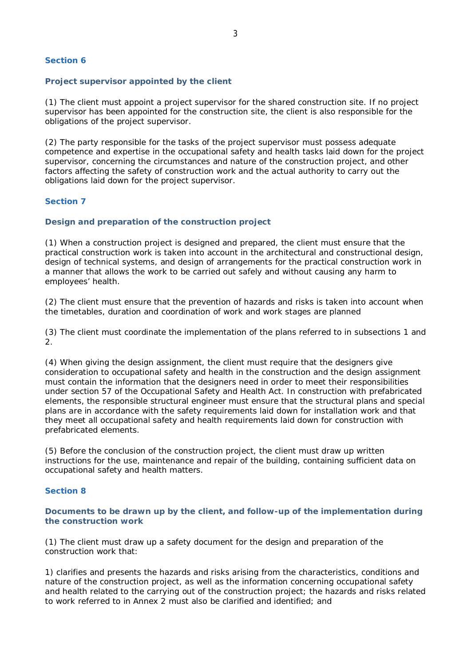### **Section 6**

### **Project supervisor appointed by the client**

(1) The client must appoint a project supervisor for the shared construction site. If no project supervisor has been appointed for the construction site, the client is also responsible for the obligations of the project supervisor.

(2) The party responsible for the tasks of the project supervisor must possess adequate competence and expertise in the occupational safety and health tasks laid down for the project supervisor, concerning the circumstances and nature of the construction project, and other factors affecting the safety of construction work and the actual authority to carry out the obligations laid down for the project supervisor.

### **Section 7**

### **Design and preparation of the construction project**

(1) When a construction project is designed and prepared, the client must ensure that the practical construction work is taken into account in the architectural and constructional design, design of technical systems, and design of arrangements for the practical construction work in a manner that allows the work to be carried out safely and without causing any harm to employees' health.

(2) The client must ensure that the prevention of hazards and risks is taken into account when the timetables, duration and coordination of work and work stages are planned

(3) The client must coordinate the implementation of the plans referred to in subsections 1 and 2.

(4) When giving the design assignment, the client must require that the designers give consideration to occupational safety and health in the construction and the design assignment must contain the information that the designers need in order to meet their responsibilities under section 57 of the Occupational Safety and Health Act. In construction with prefabricated elements, the responsible structural engineer must ensure that the structural plans and special plans are in accordance with the safety requirements laid down for installation work and that they meet all occupational safety and health requirements laid down for construction with prefabricated elements.

(5) Before the conclusion of the construction project, the client must draw up written instructions for the use, maintenance and repair of the building, containing sufficient data on occupational safety and health matters.

## **Section 8**

**Documents to be drawn up by the client, and follow-up of the implementation during the construction work**

(1) The client must draw up a safety document for the design and preparation of the construction work that:

1) clarifies and presents the hazards and risks arising from the characteristics, conditions and nature of the construction project, as well as the information concerning occupational safety and health related to the carrying out of the construction project; the hazards and risks related to work referred to in Annex 2 must also be clarified and identified; and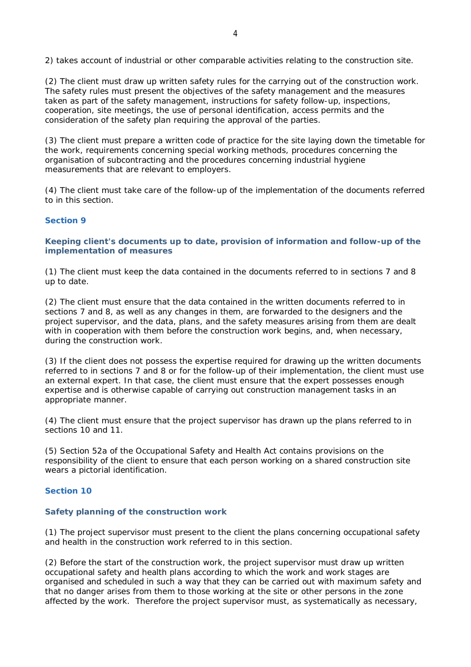2) takes account of industrial or other comparable activities relating to the construction site.

(2) The client must draw up written safety rules for the carrying out of the construction work. The safety rules must present the objectives of the safety management and the measures taken as part of the safety management, instructions for safety follow-up, inspections, cooperation, site meetings, the use of personal identification, access permits and the consideration of the safety plan requiring the approval of the parties.

(3) The client must prepare a written code of practice for the site laying down the timetable for the work, requirements concerning special working methods, procedures concerning the organisation of subcontracting and the procedures concerning industrial hygiene measurements that are relevant to employers.

(4) The client must take care of the follow-up of the implementation of the documents referred to in this section.

#### **Section 9**

**Keeping client's documents up to date, provision of information and follow-up of the implementation of measures**

(1) The client must keep the data contained in the documents referred to in sections 7 and 8 up to date.

(2) The client must ensure that the data contained in the written documents referred to in sections 7 and 8, as well as any changes in them, are forwarded to the designers and the project supervisor, and the data, plans, and the safety measures arising from them are dealt with in cooperation with them before the construction work begins, and, when necessary, during the construction work.

(3) If the client does not possess the expertise required for drawing up the written documents referred to in sections 7 and 8 or for the follow-up of their implementation, the client must use an external expert. In that case, the client must ensure that the expert possesses enough expertise and is otherwise capable of carrying out construction management tasks in an appropriate manner.

(4) The client must ensure that the project supervisor has drawn up the plans referred to in sections 10 and 11.

(5) Section 52a of the Occupational Safety and Health Act contains provisions on the responsibility of the client to ensure that each person working on a shared construction site wears a pictorial identification.

### **Section 10**

#### **Safety planning of the construction work**

(1) The project supervisor must present to the client the plans concerning occupational safety and health in the construction work referred to in this section.

(2) Before the start of the construction work, the project supervisor must draw up written occupational safety and health plans according to which the work and work stages are organised and scheduled in such a way that they can be carried out with maximum safety and that no danger arises from them to those working at the site or other persons in the zone affected by the work. Therefore the project supervisor must, as systematically as necessary,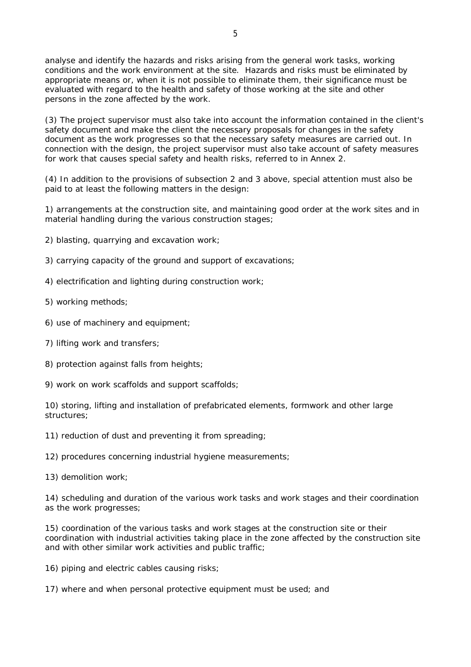analyse and identify the hazards and risks arising from the general work tasks, working conditions and the work environment at the site. Hazards and risks must be eliminated by appropriate means or, when it is not possible to eliminate them, their significance must be evaluated with regard to the health and safety of those working at the site and other persons in the zone affected by the work.

(3) The project supervisor must also take into account the information contained in the client's safety document and make the client the necessary proposals for changes in the safety document as the work progresses so that the necessary safety measures are carried out. In connection with the design, the project supervisor must also take account of safety measures for work that causes special safety and health risks, referred to in Annex 2.

(4) In addition to the provisions of subsection 2 and 3 above, special attention must also be paid to at least the following matters in the design:

1) arrangements at the construction site, and maintaining good order at the work sites and in material handling during the various construction stages;

2) blasting, quarrying and excavation work;

- 3) carrying capacity of the ground and support of excavations;
- 4) electrification and lighting during construction work;
- 5) working methods;
- 6) use of machinery and equipment;
- 7) lifting work and transfers;
- 8) protection against falls from heights;
- 9) work on work scaffolds and support scaffolds;

10) storing, lifting and installation of prefabricated elements, formwork and other large structures;

11) reduction of dust and preventing it from spreading;

12) procedures concerning industrial hygiene measurements;

13) demolition work;

14) scheduling and duration of the various work tasks and work stages and their coordination as the work progresses;

15) coordination of the various tasks and work stages at the construction site or their coordination with industrial activities taking place in the zone affected by the construction site and with other similar work activities and public traffic;

16) piping and electric cables causing risks;

17) where and when personal protective equipment must be used; and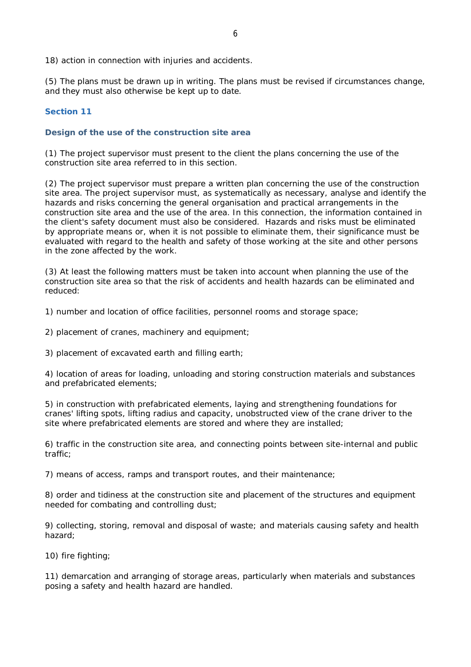18) action in connection with injuries and accidents.

(5) The plans must be drawn up in writing. The plans must be revised if circumstances change, and they must also otherwise be kept up to date.

### **Section 11**

### **Design of the use of the construction site area**

(1) The project supervisor must present to the client the plans concerning the use of the construction site area referred to in this section.

(2) The project supervisor must prepare a written plan concerning the use of the construction site area. The project supervisor must, as systematically as necessary, analyse and identify the hazards and risks concerning the general organisation and practical arrangements in the construction site area and the use of the area. In this connection, the information contained in the client's safety document must also be considered. Hazards and risks must be eliminated by appropriate means or, when it is not possible to eliminate them, their significance must be evaluated with regard to the health and safety of those working at the site and other persons in the zone affected by the work.

(3) At least the following matters must be taken into account when planning the use of the construction site area so that the risk of accidents and health hazards can be eliminated and reduced:

1) number and location of office facilities, personnel rooms and storage space;

2) placement of cranes, machinery and equipment;

3) placement of excavated earth and filling earth;

4) location of areas for loading, unloading and storing construction materials and substances and prefabricated elements;

5) in construction with prefabricated elements, laying and strengthening foundations for cranes' lifting spots, lifting radius and capacity, unobstructed view of the crane driver to the site where prefabricated elements are stored and where they are installed;

6) traffic in the construction site area, and connecting points between site-internal and public traffic;

7) means of access, ramps and transport routes, and their maintenance;

8) order and tidiness at the construction site and placement of the structures and equipment needed for combating and controlling dust;

9) collecting, storing, removal and disposal of waste; and materials causing safety and health hazard;

10) fire fighting;

11) demarcation and arranging of storage areas, particularly when materials and substances posing a safety and health hazard are handled.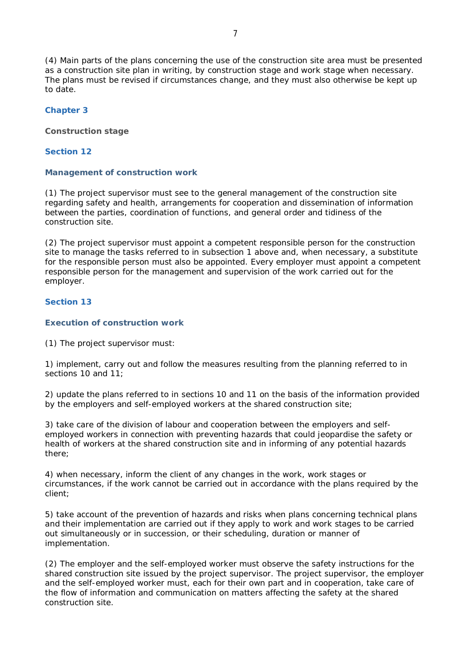(4) Main parts of the plans concerning the use of the construction site area must be presented as a construction site plan in writing, by construction stage and work stage when necessary. The plans must be revised if circumstances change, and they must also otherwise be kept up to date.

**Chapter 3**

**Construction stage**

**Section 12**

**Management of construction work**

(1) The project supervisor must see to the general management of the construction site regarding safety and health, arrangements for cooperation and dissemination of information between the parties, coordination of functions, and general order and tidiness of the construction site.

(2) The project supervisor must appoint a competent responsible person for the construction site to manage the tasks referred to in subsection 1 above and, when necessary, a substitute for the responsible person must also be appointed. Every employer must appoint a competent responsible person for the management and supervision of the work carried out for the employer.

**Section 13**

**Execution of construction work**

(1) The project supervisor must:

1) implement, carry out and follow the measures resulting from the planning referred to in sections 10 and 11;

2) update the plans referred to in sections 10 and 11 on the basis of the information provided by the employers and self-employed workers at the shared construction site;

3) take care of the division of labour and cooperation between the employers and selfemployed workers in connection with preventing hazards that could jeopardise the safety or health of workers at the shared construction site and in informing of any potential hazards there;

4) when necessary, inform the client of any changes in the work, work stages or circumstances, if the work cannot be carried out in accordance with the plans required by the client;

5) take account of the prevention of hazards and risks when plans concerning technical plans and their implementation are carried out if they apply to work and work stages to be carried out simultaneously or in succession, or their scheduling, duration or manner of implementation.

(2) The employer and the self-employed worker must observe the safety instructions for the shared construction site issued by the project supervisor. The project supervisor, the employer and the self-employed worker must, each for their own part and in cooperation, take care of the flow of information and communication on matters affecting the safety at the shared construction site.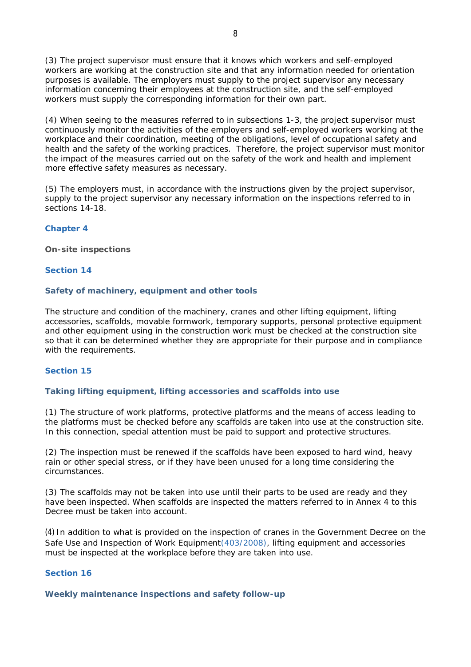(3) The project supervisor must ensure that it knows which workers and self-employed workers are working at the construction site and that any information needed for orientation purposes is available. The employers must supply to the project supervisor any necessary information concerning their employees at the construction site, and the self-employed workers must supply the corresponding information for their own part.

(4) When seeing to the measures referred to in subsections 1-3, the project supervisor must continuously monitor the activities of the employers and self-employed workers working at the workplace and their coordination, meeting of the obligations, level of occupational safety and health and the safety of the working practices. Therefore, the project supervisor must monitor the impact of the measures carried out on the safety of the work and health and implement more effective safety measures as necessary.

(5) The employers must, in accordance with the instructions given by the project supervisor, supply to the project supervisor any necessary information on the inspections referred to in sections 14-18.

### **Chapter 4**

**On-site inspections**

#### **Section 14**

#### **Safety of machinery, equipment and other tools**

The structure and condition of the machinery, cranes and other lifting equipment, lifting accessories, scaffolds, movable formwork, temporary supports, personal protective equipment and other equipment using in the construction work must be checked at the construction site so that it can be determined whether they are appropriate for their purpose and in compliance with the requirements.

### **Section 15**

#### **Taking lifting equipment, lifting accessories and scaffolds into use**

(1) The structure of work platforms, protective platforms and the means of access leading to the platforms must be checked before any scaffolds are taken into use at the construction site. In this connection, special attention must be paid to support and protective structures.

(2) The inspection must be renewed if the scaffolds have been exposed to hard wind, heavy rain or other special stress, or if they have been unused for a long time considering the circumstances.

(3) The scaffolds may not be taken into use until their parts to be used are ready and they have been inspected. When scaffolds are inspected the matters referred to in Annex 4 to this Decree must be taken into account.

(4) In addition to what is provided on the inspection of cranes in the Government Decree on the Safe Use and Inspection of Work Equipment(403/2008), lifting equipment and accessories must be inspected at the workplace before they are taken into use.

### **Section 16**

**Weekly maintenance inspections and safety follow-up**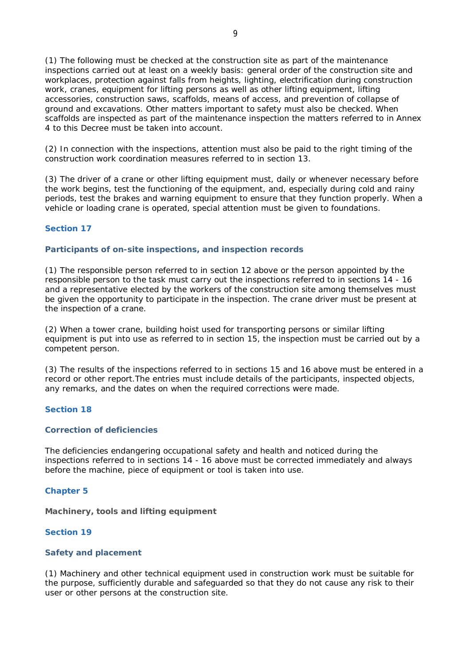(1) The following must be checked at the construction site as part of the maintenance inspections carried out at least on a weekly basis: general order of the construction site and workplaces, protection against falls from heights, lighting, electrification during construction work, cranes, equipment for lifting persons as well as other lifting equipment, lifting accessories, construction saws, scaffolds, means of access, and prevention of collapse of ground and excavations. Other matters important to safety must also be checked. When scaffolds are inspected as part of the maintenance inspection the matters referred to in Annex 4 to this Decree must be taken into account.

(2) In connection with the inspections, attention must also be paid to the right timing of the construction work coordination measures referred to in section 13.

(3) The driver of a crane or other lifting equipment must, daily or whenever necessary before the work begins, test the functioning of the equipment, and, especially during cold and rainy periods, test the brakes and warning equipment to ensure that they function properly. When a vehicle or loading crane is operated, special attention must be given to foundations.

### **Section 17**

### **Participants of on-site inspections, and inspection records**

(1) The responsible person referred to in section 12 above or the person appointed by the responsible person to the task must carry out the inspections referred to in sections 14 - 16 and a representative elected by the workers of the construction site among themselves must be given the opportunity to participate in the inspection. The crane driver must be present at the inspection of a crane.

(2) When a tower crane, building hoist used for transporting persons or similar lifting equipment is put into use as referred to in section 15, the inspection must be carried out by a competent person.

(3) The results of the inspections referred to in sections 15 and 16 above must be entered in a record or other report.The entries must include details of the participants, inspected objects, any remarks, and the dates on when the required corrections were made.

#### **Section 18**

### **Correction of deficiencies**

The deficiencies endangering occupational safety and health and noticed during the inspections referred to in sections 14 - 16 above must be corrected immediately and always before the machine, piece of equipment or tool is taken into use.

#### **Chapter 5**

**Machinery, tools and lifting equipment**

### **Section 19**

### **Safety and placement**

(1) Machinery and other technical equipment used in construction work must be suitable for the purpose, sufficiently durable and safeguarded so that they do not cause any risk to their user or other persons at the construction site.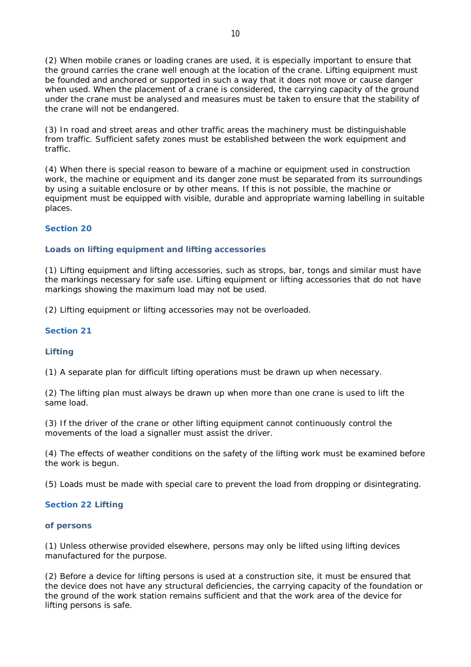(2) When mobile cranes or loading cranes are used, it is especially important to ensure that the ground carries the crane well enough at the location of the crane. Lifting equipment must be founded and anchored or supported in such a way that it does not move or cause danger when used. When the placement of a crane is considered, the carrying capacity of the ground under the crane must be analysed and measures must be taken to ensure that the stability of the crane will not be endangered.

(3) In road and street areas and other traffic areas the machinery must be distinguishable from traffic. Sufficient safety zones must be established between the work equipment and traffic.

(4) When there is special reason to beware of a machine or equipment used in construction work, the machine or equipment and its danger zone must be separated from its surroundings by using a suitable enclosure or by other means. If this is not possible, the machine or equipment must be equipped with visible, durable and appropriate warning labelling in suitable places.

## **Section 20**

### **Loads on lifting equipment and lifting accessories**

(1) Lifting equipment and lifting accessories, such as strops, bar, tongs and similar must have the markings necessary for safe use. Lifting equipment or lifting accessories that do not have markings showing the maximum load may not be used.

(2) Lifting equipment or lifting accessories may not be overloaded.

### **Section 21**

## **Lifting**

(1) A separate plan for difficult lifting operations must be drawn up when necessary.

(2) The lifting plan must always be drawn up when more than one crane is used to lift the same load.

(3) If the driver of the crane or other lifting equipment cannot continuously control the movements of the load a signaller must assist the driver.

(4) The effects of weather conditions on the safety of the lifting work must be examined before the work is begun.

(5) Loads must be made with special care to prevent the load from dropping or disintegrating.

### **Section 22 Lifting**

### **of persons**

(1) Unless otherwise provided elsewhere, persons may only be lifted using lifting devices manufactured for the purpose.

(2) Before a device for lifting persons is used at a construction site, it must be ensured that the device does not have any structural deficiencies, the carrying capacity of the foundation or the ground of the work station remains sufficient and that the work area of the device for lifting persons is safe.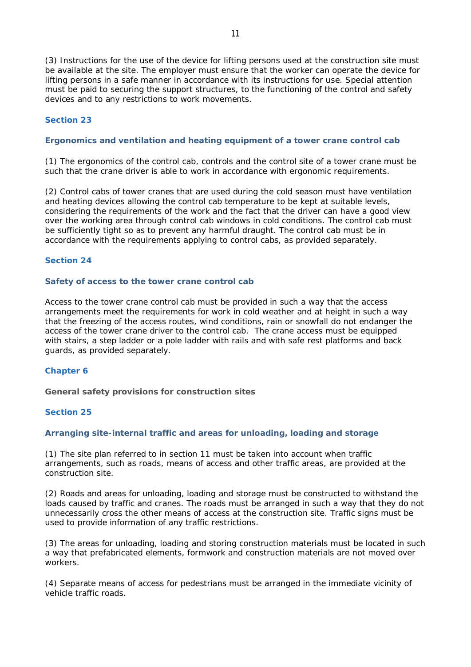(3) Instructions for the use of the device for lifting persons used at the construction site must be available at the site. The employer must ensure that the worker can operate the device for lifting persons in a safe manner in accordance with its instructions for use. Special attention must be paid to securing the support structures, to the functioning of the control and safety devices and to any restrictions to work movements.

### **Section 23**

### **Ergonomics and ventilation and heating equipment of a tower crane control cab**

(1) The ergonomics of the control cab, controls and the control site of a tower crane must be such that the crane driver is able to work in accordance with ergonomic requirements.

(2) Control cabs of tower cranes that are used during the cold season must have ventilation and heating devices allowing the control cab temperature to be kept at suitable levels, considering the requirements of the work and the fact that the driver can have a good view over the working area through control cab windows in cold conditions. The control cab must be sufficiently tight so as to prevent any harmful draught. The control cab must be in accordance with the requirements applying to control cabs, as provided separately.

#### **Section 24**

#### **Safety of access to the tower crane control cab**

Access to the tower crane control cab must be provided in such a way that the access arrangements meet the requirements for work in cold weather and at height in such a way that the freezing of the access routes, wind conditions, rain or snowfall do not endanger the access of the tower crane driver to the control cab. The crane access must be equipped with stairs, a step ladder or a pole ladder with rails and with safe rest platforms and back guards, as provided separately.

#### **Chapter 6**

**General safety provisions for construction sites**

### **Section 25**

#### **Arranging site-internal traffic and areas for unloading, loading and storage**

(1) The site plan referred to in section 11 must be taken into account when traffic arrangements, such as roads, means of access and other traffic areas, are provided at the construction site.

(2) Roads and areas for unloading, loading and storage must be constructed to withstand the loads caused by traffic and cranes. The roads must be arranged in such a way that they do not unnecessarily cross the other means of access at the construction site. Traffic signs must be used to provide information of any traffic restrictions.

(3) The areas for unloading, loading and storing construction materials must be located in such a way that prefabricated elements, formwork and construction materials are not moved over workers.

(4) Separate means of access for pedestrians must be arranged in the immediate vicinity of vehicle traffic roads.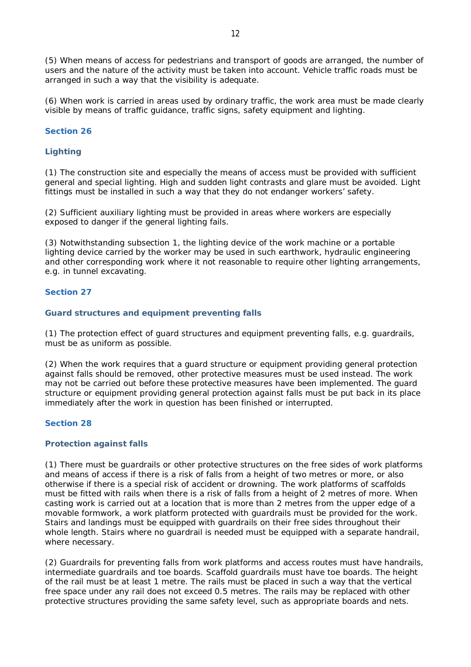(5) When means of access for pedestrians and transport of goods are arranged, the number of users and the nature of the activity must be taken into account. Vehicle traffic roads must be arranged in such a way that the visibility is adequate.

(6) When work is carried in areas used by ordinary traffic, the work area must be made clearly visible by means of traffic guidance, traffic signs, safety equipment and lighting.

#### **Section 26**

## **Lighting**

(1) The construction site and especially the means of access must be provided with sufficient general and special lighting. High and sudden light contrasts and glare must be avoided. Light fittings must be installed in such a way that they do not endanger workers' safety.

(2) Sufficient auxiliary lighting must be provided in areas where workers are especially exposed to danger if the general lighting fails.

(3) Notwithstanding subsection 1, the lighting device of the work machine or a portable lighting device carried by the worker may be used in such earthwork, hydraulic engineering and other corresponding work where it not reasonable to require other lighting arrangements, e.g. in tunnel excavating.

### **Section 27**

#### **Guard structures and equipment preventing falls**

(1) The protection effect of guard structures and equipment preventing falls, e.g. guardrails, must be as uniform as possible.

(2) When the work requires that a guard structure or equipment providing general protection against falls should be removed, other protective measures must be used instead. The work may not be carried out before these protective measures have been implemented. The guard structure or equipment providing general protection against falls must be put back in its place immediately after the work in question has been finished or interrupted.

### **Section 28**

#### **Protection against falls**

(1) There must be guardrails or other protective structures on the free sides of work platforms and means of access if there is a risk of falls from a height of two metres or more, or also otherwise if there is a special risk of accident or drowning. The work platforms of scaffolds must be fitted with rails when there is a risk of falls from a height of 2 metres of more. When casting work is carried out at a location that is more than 2 metres from the upper edge of a movable formwork, a work platform protected with guardrails must be provided for the work. Stairs and landings must be equipped with guardrails on their free sides throughout their whole length. Stairs where no guardrail is needed must be equipped with a separate handrail, where necessary.

(2) Guardrails for preventing falls from work platforms and access routes must have handrails, intermediate guardrails and toe boards. Scaffold guardrails must have toe boards. The height of the rail must be at least 1 metre. The rails must be placed in such a way that the vertical free space under any rail does not exceed 0.5 metres. The rails may be replaced with other protective structures providing the same safety level, such as appropriate boards and nets.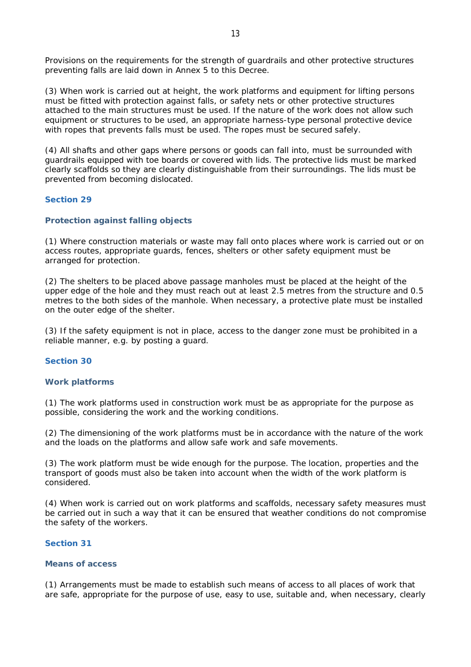Provisions on the requirements for the strength of guardrails and other protective structures preventing falls are laid down in Annex 5 to this Decree.

(3) When work is carried out at height, the work platforms and equipment for lifting persons must be fitted with protection against falls, or safety nets or other protective structures attached to the main structures must be used. If the nature of the work does not allow such equipment or structures to be used, an appropriate harness-type personal protective device with ropes that prevents falls must be used. The ropes must be secured safely.

(4) All shafts and other gaps where persons or goods can fall into, must be surrounded with guardrails equipped with toe boards or covered with lids. The protective lids must be marked clearly scaffolds so they are clearly distinguishable from their surroundings. The lids must be prevented from becoming dislocated.

### **Section 29**

#### **Protection against falling objects**

(1) Where construction materials or waste may fall onto places where work is carried out or on access routes, appropriate guards, fences, shelters or other safety equipment must be arranged for protection.

(2) The shelters to be placed above passage manholes must be placed at the height of the upper edge of the hole and they must reach out at least 2.5 metres from the structure and 0.5 metres to the both sides of the manhole. When necessary, a protective plate must be installed on the outer edge of the shelter.

(3) If the safety equipment is not in place, access to the danger zone must be prohibited in a reliable manner, e.g. by posting a guard.

### **Section 30**

#### **Work platforms**

(1) The work platforms used in construction work must be as appropriate for the purpose as possible, considering the work and the working conditions.

(2) The dimensioning of the work platforms must be in accordance with the nature of the work and the loads on the platforms and allow safe work and safe movements.

(3) The work platform must be wide enough for the purpose. The location, properties and the transport of goods must also be taken into account when the width of the work platform is considered.

(4) When work is carried out on work platforms and scaffolds, necessary safety measures must be carried out in such a way that it can be ensured that weather conditions do not compromise the safety of the workers.

### **Section 31**

## **Means of access**

(1) Arrangements must be made to establish such means of access to all places of work that are safe, appropriate for the purpose of use, easy to use, suitable and, when necessary, clearly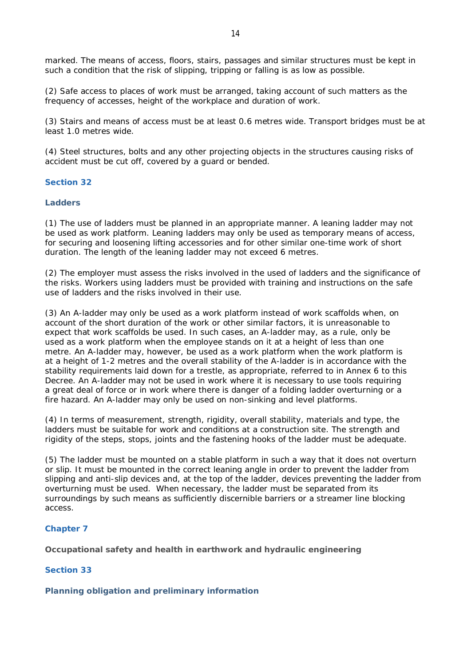marked. The means of access, floors, stairs, passages and similar structures must be kept in such a condition that the risk of slipping, tripping or falling is as low as possible.

(2) Safe access to places of work must be arranged, taking account of such matters as the frequency of accesses, height of the workplace and duration of work.

(3) Stairs and means of access must be at least 0.6 metres wide. Transport bridges must be at least 1.0 metres wide.

(4) Steel structures, bolts and any other projecting objects in the structures causing risks of accident must be cut off, covered by a guard or bended.

**Section 32**

**Ladders**

(1) The use of ladders must be planned in an appropriate manner. A leaning ladder may not be used as work platform. Leaning ladders may only be used as temporary means of access, for securing and loosening lifting accessories and for other similar one-time work of short duration. The length of the leaning ladder may not exceed 6 metres.

(2) The employer must assess the risks involved in the used of ladders and the significance of the risks. Workers using ladders must be provided with training and instructions on the safe use of ladders and the risks involved in their use.

(3) An A-ladder may only be used as a work platform instead of work scaffolds when, on account of the short duration of the work or other similar factors, it is unreasonable to expect that work scaffolds be used. In such cases, an A-ladder may, as a rule, only be used as a work platform when the employee stands on it at a height of less than one metre. An A-ladder may, however, be used as a work platform when the work platform is at a height of 1-2 metres and the overall stability of the A-ladder is in accordance with the stability requirements laid down for a trestle, as appropriate, referred to in Annex 6 to this Decree. An A-ladder may not be used in work where it is necessary to use tools requiring a great deal of force or in work where there is danger of a folding ladder overturning or a fire hazard. An A-ladder may only be used on non-sinking and level platforms.

(4) In terms of measurement, strength, rigidity, overall stability, materials and type, the ladders must be suitable for work and conditions at a construction site. The strength and rigidity of the steps, stops, joints and the fastening hooks of the ladder must be adequate.

(5) The ladder must be mounted on a stable platform in such a way that it does not overturn or slip. It must be mounted in the correct leaning angle in order to prevent the ladder from slipping and anti-slip devices and, at the top of the ladder, devices preventing the ladder from overturning must be used. When necessary, the ladder must be separated from its surroundings by such means as sufficiently discernible barriers or a streamer line blocking access.

## **Chapter 7**

**Occupational safety and health in earthwork and hydraulic engineering**

### **Section 33**

**Planning obligation and preliminary information**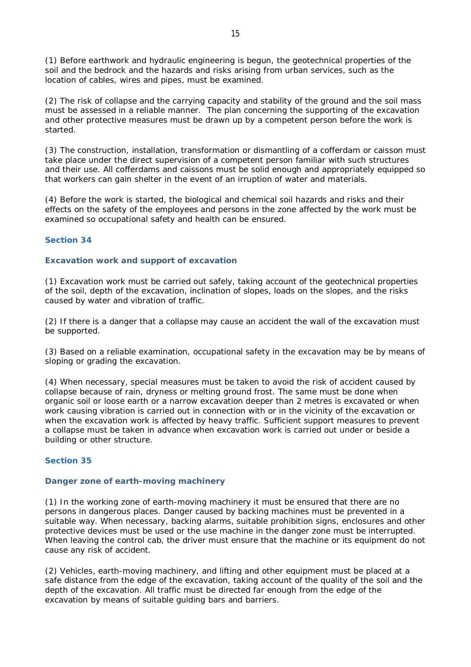(1) Before earthwork and hydraulic engineering is begun, the geotechnical properties of the soil and the bedrock and the hazards and risks arising from urban services, such as the location of cables, wires and pipes, must be examined.

(2) The risk of collapse and the carrying capacity and stability of the ground and the soil mass must be assessed in a reliable manner. The plan concerning the supporting of the excavation and other protective measures must be drawn up by a competent person before the work is started.

(3) The construction, installation, transformation or dismantling of a cofferdam or caisson must take place under the direct supervision of a competent person familiar with such structures and their use. All cofferdams and caissons must be solid enough and appropriately equipped so that workers can gain shelter in the event of an irruption of water and materials.

(4) Before the work is started, the biological and chemical soil hazards and risks and their effects on the safety of the employees and persons in the zone affected by the work must be examined so occupational safety and health can be ensured.

## **Section 34**

## **Excavation work and support of excavation**

(1) Excavation work must be carried out safely, taking account of the geotechnical properties of the soil, depth of the excavation, inclination of slopes, loads on the slopes, and the risks caused by water and vibration of traffic.

(2) If there is a danger that a collapse may cause an accident the wall of the excavation must be supported.

(3) Based on a reliable examination, occupational safety in the excavation may be by means of sloping or grading the excavation.

(4) When necessary, special measures must be taken to avoid the risk of accident caused by collapse because of rain, dryness or melting ground frost. The same must be done when organic soil or loose earth or a narrow excavation deeper than 2 metres is excavated or when work causing vibration is carried out in connection with or in the vicinity of the excavation or when the excavation work is affected by heavy traffic. Sufficient support measures to prevent a collapse must be taken in advance when excavation work is carried out under or beside a building or other structure.

## **Section 35**

## **Danger zone of earth-moving machinery**

(1) In the working zone of earth-moving machinery it must be ensured that there are no persons in dangerous places. Danger caused by backing machines must be prevented in a suitable way. When necessary, backing alarms, suitable prohibition signs, enclosures and other protective devices must be used or the use machine in the danger zone must be interrupted. When leaving the control cab, the driver must ensure that the machine or its equipment do not cause any risk of accident.

(2) Vehicles, earth-moving machinery, and lifting and other equipment must be placed at a safe distance from the edge of the excavation, taking account of the quality of the soil and the depth of the excavation. All traffic must be directed far enough from the edge of the excavation by means of suitable guiding bars and barriers.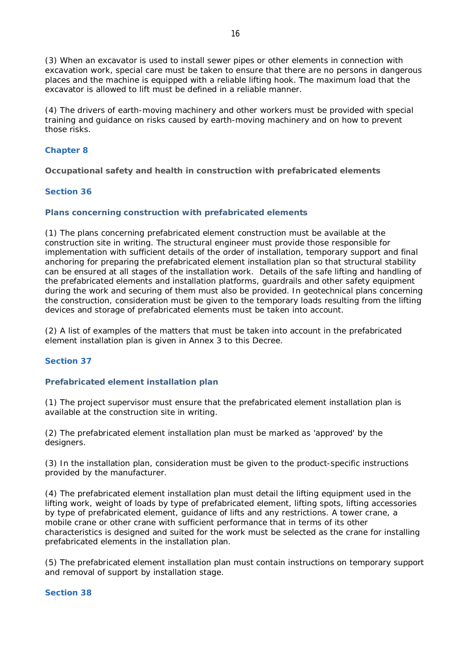(3) When an excavator is used to install sewer pipes or other elements in connection with excavation work, special care must be taken to ensure that there are no persons in dangerous places and the machine is equipped with a reliable lifting hook. The maximum load that the excavator is allowed to lift must be defined in a reliable manner.

(4) The drivers of earth-moving machinery and other workers must be provided with special training and guidance on risks caused by earth-moving machinery and on how to prevent those risks.

# **Chapter 8**

**Occupational safety and health in construction with prefabricated elements**

## **Section 36**

# **Plans concerning construction with prefabricated elements**

(1) The plans concerning prefabricated element construction must be available at the construction site in writing. The structural engineer must provide those responsible for implementation with sufficient details of the order of installation, temporary support and final anchoring for preparing the prefabricated element installation plan so that structural stability can be ensured at all stages of the installation work. Details of the safe lifting and handling of the prefabricated elements and installation platforms, guardrails and other safety equipment during the work and securing of them must also be provided. In geotechnical plans concerning the construction, consideration must be given to the temporary loads resulting from the lifting devices and storage of prefabricated elements must be taken into account.

(2) A list of examples of the matters that must be taken into account in the prefabricated element installation plan is given in Annex 3 to this Decree.

## **Section 37**

## **Prefabricated element installation plan**

(1) The project supervisor must ensure that the prefabricated element installation plan is available at the construction site in writing.

(2) The prefabricated element installation plan must be marked as 'approved' by the designers.

(3) In the installation plan, consideration must be given to the product-specific instructions provided by the manufacturer.

(4) The prefabricated element installation plan must detail the lifting equipment used in the lifting work, weight of loads by type of prefabricated element, lifting spots, lifting accessories by type of prefabricated element, guidance of lifts and any restrictions. A tower crane, a mobile crane or other crane with sufficient performance that in terms of its other characteristics is designed and suited for the work must be selected as the crane for installing prefabricated elements in the installation plan.

(5) The prefabricated element installation plan must contain instructions on temporary support and removal of support by installation stage.

# **Section 38**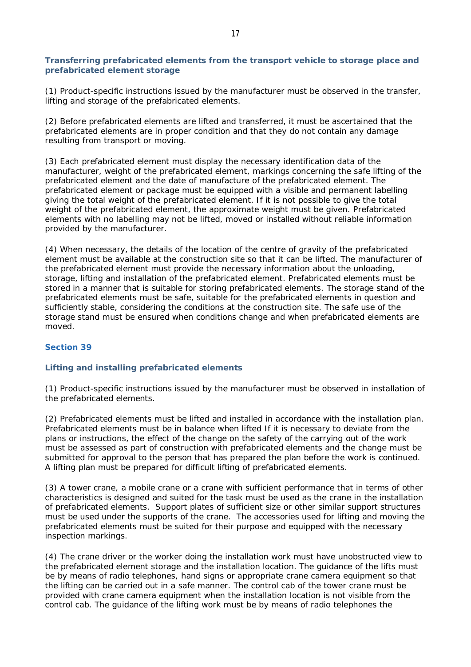## **Transferring prefabricated elements from the transport vehicle to storage place and prefabricated element storage**

(1) Product-specific instructions issued by the manufacturer must be observed in the transfer, lifting and storage of the prefabricated elements.

(2) Before prefabricated elements are lifted and transferred, it must be ascertained that the prefabricated elements are in proper condition and that they do not contain any damage resulting from transport or moving.

(3) Each prefabricated element must display the necessary identification data of the manufacturer, weight of the prefabricated element, markings concerning the safe lifting of the prefabricated element and the date of manufacture of the prefabricated element. The prefabricated element or package must be equipped with a visible and permanent labelling giving the total weight of the prefabricated element. If it is not possible to give the total weight of the prefabricated element, the approximate weight must be given. Prefabricated elements with no labelling may not be lifted, moved or installed without reliable information provided by the manufacturer.

(4) When necessary, the details of the location of the centre of gravity of the prefabricated element must be available at the construction site so that it can be lifted. The manufacturer of the prefabricated element must provide the necessary information about the unloading, storage, lifting and installation of the prefabricated element. Prefabricated elements must be stored in a manner that is suitable for storing prefabricated elements. The storage stand of the prefabricated elements must be safe, suitable for the prefabricated elements in question and sufficiently stable, considering the conditions at the construction site. The safe use of the storage stand must be ensured when conditions change and when prefabricated elements are moved.

## **Section 39**

# **Lifting and installing prefabricated elements**

(1) Product-specific instructions issued by the manufacturer must be observed in installation of the prefabricated elements.

(2) Prefabricated elements must be lifted and installed in accordance with the installation plan. Prefabricated elements must be in balance when lifted If it is necessary to deviate from the plans or instructions, the effect of the change on the safety of the carrying out of the work must be assessed as part of construction with prefabricated elements and the change must be submitted for approval to the person that has prepared the plan before the work is continued. A lifting plan must be prepared for difficult lifting of prefabricated elements.

(3) A tower crane, a mobile crane or a crane with sufficient performance that in terms of other characteristics is designed and suited for the task must be used as the crane in the installation of prefabricated elements. Support plates of sufficient size or other similar support structures must be used under the supports of the crane. The accessories used for lifting and moving the prefabricated elements must be suited for their purpose and equipped with the necessary inspection markings.

(4) The crane driver or the worker doing the installation work must have unobstructed view to the prefabricated element storage and the installation location. The guidance of the lifts must be by means of radio telephones, hand signs or appropriate crane camera equipment so that the lifting can be carried out in a safe manner. The control cab of the tower crane must be provided with crane camera equipment when the installation location is not visible from the control cab. The guidance of the lifting work must be by means of radio telephones the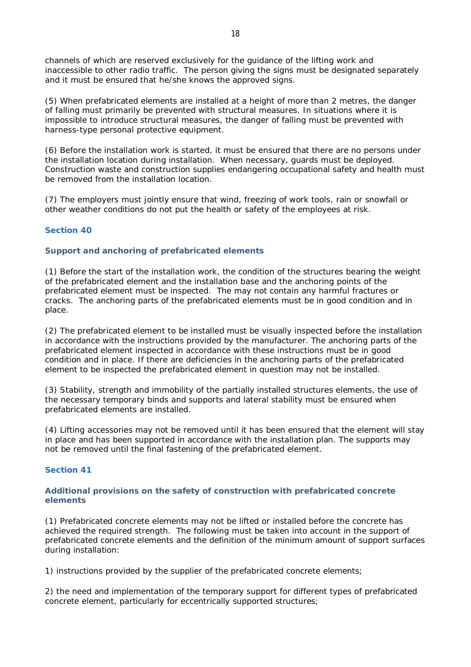channels of which are reserved exclusively for the guidance of the lifting work and inaccessible to other radio traffic. The person giving the signs must be designated separately and it must be ensured that he/she knows the approved signs.

(5) When prefabricated elements are installed at a height of more than 2 metres, the danger of falling must primarily be prevented with structural measures. In situations where it is impossible to introduce structural measures, the danger of falling must be prevented with harness-type personal protective equipment.

(6) Before the installation work is started, it must be ensured that there are no persons under the installation location during installation. When necessary, guards must be deployed. Construction waste and construction supplies endangering occupational safety and health must be removed from the installation location.

(7) The employers must jointly ensure that wind, freezing of work tools, rain or snowfall or other weather conditions do not put the health or safety of the employees at risk.

### **Section 40**

#### **Support and anchoring of prefabricated elements**

(1) Before the start of the installation work, the condition of the structures bearing the weight of the prefabricated element and the installation base and the anchoring points of the prefabricated element must be inspected. The may not contain any harmful fractures or cracks. The anchoring parts of the prefabricated elements must be in good condition and in place.

(2) The prefabricated element to be installed must be visually inspected before the installation in accordance with the instructions provided by the manufacturer. The anchoring parts of the prefabricated element inspected in accordance with these instructions must be in good condition and in place. If there are deficiencies in the anchoring parts of the prefabricated element to be inspected the prefabricated element in question may not be installed.

(3) Stability, strength and immobility of the partially installed structures elements, the use of the necessary temporary binds and supports and lateral stability must be ensured when prefabricated elements are installed.

(4) Lifting accessories may not be removed until it has been ensured that the element will stay in place and has been supported in accordance with the installation plan. The supports may not be removed until the final fastening of the prefabricated element.

#### **Section 41**

### **Additional provisions on the safety of construction with prefabricated concrete elements**

(1) Prefabricated concrete elements may not be lifted or installed before the concrete has achieved the required strength. The following must be taken into account in the support of prefabricated concrete elements and the definition of the minimum amount of support surfaces during installation:

1) instructions provided by the supplier of the prefabricated concrete elements;

2) the need and implementation of the temporary support for different types of prefabricated concrete element, particularly for eccentrically supported structures;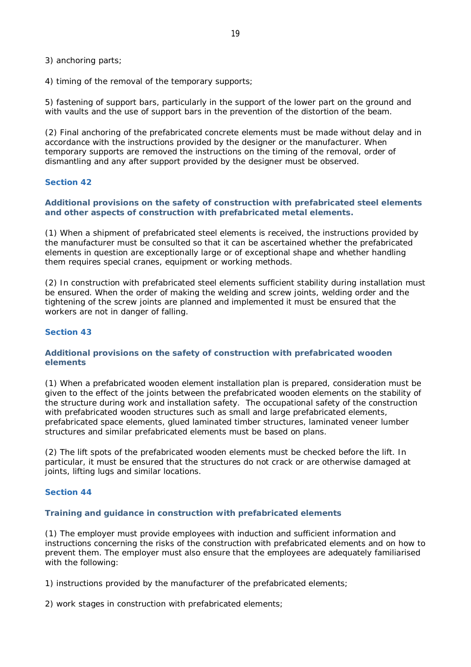3) anchoring parts;

4) timing of the removal of the temporary supports;

5) fastening of support bars, particularly in the support of the lower part on the ground and with vaults and the use of support bars in the prevention of the distortion of the beam.

(2) Final anchoring of the prefabricated concrete elements must be made without delay and in accordance with the instructions provided by the designer or the manufacturer. When temporary supports are removed the instructions on the timing of the removal, order of dismantling and any after support provided by the designer must be observed.

## **Section 42**

**Additional provisions on the safety of construction with prefabricated steel elements and other aspects of construction with prefabricated metal elements.**

(1) When a shipment of prefabricated steel elements is received, the instructions provided by the manufacturer must be consulted so that it can be ascertained whether the prefabricated elements in question are exceptionally large or of exceptional shape and whether handling them requires special cranes, equipment or working methods.

(2) In construction with prefabricated steel elements sufficient stability during installation must be ensured. When the order of making the welding and screw joints, welding order and the tightening of the screw joints are planned and implemented it must be ensured that the workers are not in danger of falling.

#### **Section 43**

### **Additional provisions on the safety of construction with prefabricated wooden elements**

(1) When a prefabricated wooden element installation plan is prepared, consideration must be given to the effect of the joints between the prefabricated wooden elements on the stability of the structure during work and installation safety. The occupational safety of the construction with prefabricated wooden structures such as small and large prefabricated elements, prefabricated space elements, glued laminated timber structures, laminated veneer lumber structures and similar prefabricated elements must be based on plans.

(2) The lift spots of the prefabricated wooden elements must be checked before the lift. In particular, it must be ensured that the structures do not crack or are otherwise damaged at joints, lifting lugs and similar locations.

#### **Section 44**

#### **Training and guidance in construction with prefabricated elements**

(1) The employer must provide employees with induction and sufficient information and instructions concerning the risks of the construction with prefabricated elements and on how to prevent them. The employer must also ensure that the employees are adequately familiarised with the following:

1) instructions provided by the manufacturer of the prefabricated elements;

2) work stages in construction with prefabricated elements;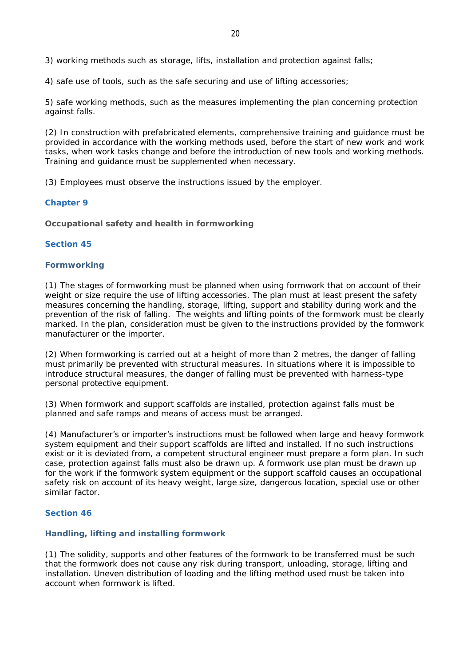3) working methods such as storage, lifts, installation and protection against falls;

4) safe use of tools, such as the safe securing and use of lifting accessories;

5) safe working methods, such as the measures implementing the plan concerning protection against falls.

(2) In construction with prefabricated elements, comprehensive training and guidance must be provided in accordance with the working methods used, before the start of new work and work tasks, when work tasks change and before the introduction of new tools and working methods. Training and guidance must be supplemented when necessary.

(3) Employees must observe the instructions issued by the employer.

### **Chapter 9**

**Occupational safety and health in formworking**

### **Section 45**

### **Formworking**

(1) The stages of formworking must be planned when using formwork that on account of their weight or size require the use of lifting accessories. The plan must at least present the safety measures concerning the handling, storage, lifting, support and stability during work and the prevention of the risk of falling. The weights and lifting points of the formwork must be clearly marked. In the plan, consideration must be given to the instructions provided by the formwork manufacturer or the importer.

(2) When formworking is carried out at a height of more than 2 metres, the danger of falling must primarily be prevented with structural measures. In situations where it is impossible to introduce structural measures, the danger of falling must be prevented with harness-type personal protective equipment.

(3) When formwork and support scaffolds are installed, protection against falls must be planned and safe ramps and means of access must be arranged.

(4) Manufacturer's or importer's instructions must be followed when large and heavy formwork system equipment and their support scaffolds are lifted and installed. If no such instructions exist or it is deviated from, a competent structural engineer must prepare a form plan. In such case, protection against falls must also be drawn up. A formwork use plan must be drawn up for the work if the formwork system equipment or the support scaffold causes an occupational safety risk on account of its heavy weight, large size, dangerous location, special use or other similar factor.

#### **Section 46**

## **Handling, lifting and installing formwork**

(1) The solidity, supports and other features of the formwork to be transferred must be such that the formwork does not cause any risk during transport, unloading, storage, lifting and installation. Uneven distribution of loading and the lifting method used must be taken into account when formwork is lifted.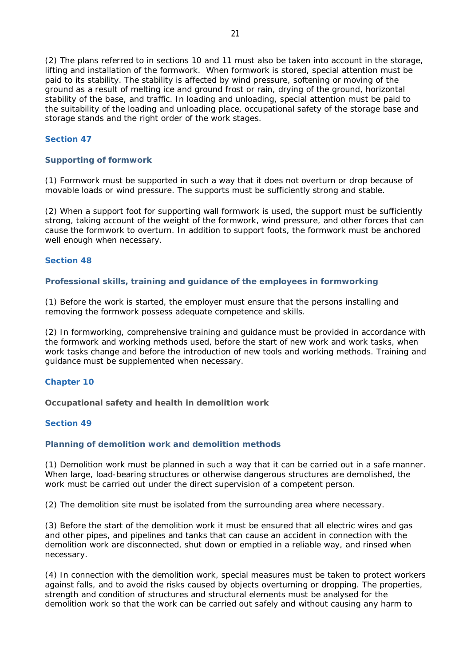(2) The plans referred to in sections 10 and 11 must also be taken into account in the storage, lifting and installation of the formwork. When formwork is stored, special attention must be paid to its stability. The stability is affected by wind pressure, softening or moving of the ground as a result of melting ice and ground frost or rain, drying of the ground, horizontal stability of the base, and traffic. In loading and unloading, special attention must be paid to the suitability of the loading and unloading place, occupational safety of the storage base and storage stands and the right order of the work stages.

### **Section 47**

### **Supporting of formwork**

(1) Formwork must be supported in such a way that it does not overturn or drop because of movable loads or wind pressure. The supports must be sufficiently strong and stable.

(2) When a support foot for supporting wall formwork is used, the support must be sufficiently strong, taking account of the weight of the formwork, wind pressure, and other forces that can cause the formwork to overturn. In addition to support foots, the formwork must be anchored well enough when necessary.

#### **Section 48**

### **Professional skills, training and guidance of the employees in formworking**

(1) Before the work is started, the employer must ensure that the persons installing and removing the formwork possess adequate competence and skills.

(2) In formworking, comprehensive training and guidance must be provided in accordance with the formwork and working methods used, before the start of new work and work tasks, when work tasks change and before the introduction of new tools and working methods. Training and guidance must be supplemented when necessary.

#### **Chapter 10**

**Occupational safety and health in demolition work**

### **Section 49**

#### **Planning of demolition work and demolition methods**

(1) Demolition work must be planned in such a way that it can be carried out in a safe manner. When large, load-bearing structures or otherwise dangerous structures are demolished, the work must be carried out under the direct supervision of a competent person.

(2) The demolition site must be isolated from the surrounding area where necessary.

(3) Before the start of the demolition work it must be ensured that all electric wires and gas and other pipes, and pipelines and tanks that can cause an accident in connection with the demolition work are disconnected, shut down or emptied in a reliable way, and rinsed when necessary.

(4) In connection with the demolition work, special measures must be taken to protect workers against falls, and to avoid the risks caused by objects overturning or dropping. The properties, strength and condition of structures and structural elements must be analysed for the demolition work so that the work can be carried out safely and without causing any harm to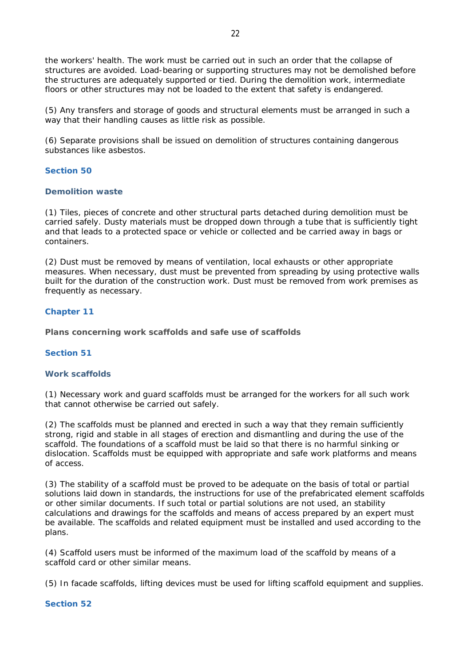the workers' health. The work must be carried out in such an order that the collapse of structures are avoided. Load-bearing or supporting structures may not be demolished before the structures are adequately supported or tied. During the demolition work, intermediate floors or other structures may not be loaded to the extent that safety is endangered.

(5) Any transfers and storage of goods and structural elements must be arranged in such a way that their handling causes as little risk as possible.

(6) Separate provisions shall be issued on demolition of structures containing dangerous substances like asbestos.

## **Section 50**

### **Demolition waste**

(1) Tiles, pieces of concrete and other structural parts detached during demolition must be carried safely. Dusty materials must be dropped down through a tube that is sufficiently tight and that leads to a protected space or vehicle or collected and be carried away in bags or containers.

(2) Dust must be removed by means of ventilation, local exhausts or other appropriate measures. When necessary, dust must be prevented from spreading by using protective walls built for the duration of the construction work. Dust must be removed from work premises as frequently as necessary.

## **Chapter 11**

**Plans concerning work scaffolds and safe use of scaffolds**

## **Section 51**

### **Work scaffolds**

(1) Necessary work and guard scaffolds must be arranged for the workers for all such work that cannot otherwise be carried out safely.

(2) The scaffolds must be planned and erected in such a way that they remain sufficiently strong, rigid and stable in all stages of erection and dismantling and during the use of the scaffold. The foundations of a scaffold must be laid so that there is no harmful sinking or dislocation. Scaffolds must be equipped with appropriate and safe work platforms and means of access.

(3) The stability of a scaffold must be proved to be adequate on the basis of total or partial solutions laid down in standards, the instructions for use of the prefabricated element scaffolds or other similar documents. If such total or partial solutions are not used, an stability calculations and drawings for the scaffolds and means of access prepared by an expert must be available. The scaffolds and related equipment must be installed and used according to the plans.

(4) Scaffold users must be informed of the maximum load of the scaffold by means of a scaffold card or other similar means.

(5) In facade scaffolds, lifting devices must be used for lifting scaffold equipment and supplies.

#### **Section 52**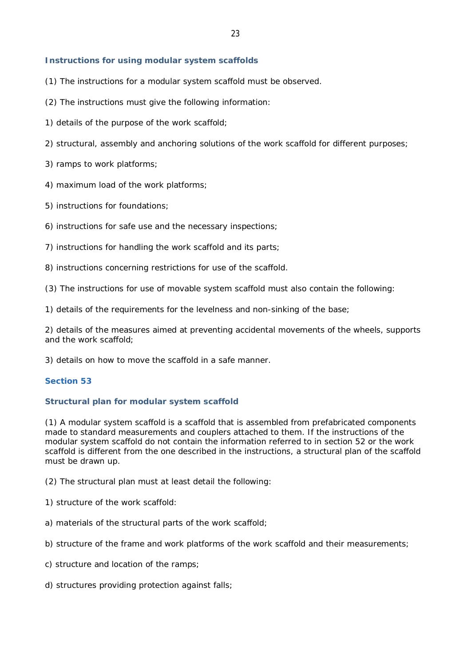### **Instructions for using modular system scaffolds**

- (1) The instructions for a modular system scaffold must be observed.
- (2) The instructions must give the following information:
- 1) details of the purpose of the work scaffold;
- 2) structural, assembly and anchoring solutions of the work scaffold for different purposes;
- 3) ramps to work platforms;
- 4) maximum load of the work platforms;
- 5) instructions for foundations;
- 6) instructions for safe use and the necessary inspections;
- 7) instructions for handling the work scaffold and its parts;
- 8) instructions concerning restrictions for use of the scaffold.
- (3) The instructions for use of movable system scaffold must also contain the following:
- 1) details of the requirements for the levelness and non-sinking of the base;

2) details of the measures aimed at preventing accidental movements of the wheels, supports and the work scaffold;

3) details on how to move the scaffold in a safe manner.

## **Section 53**

## **Structural plan for modular system scaffold**

(1) A modular system scaffold is a scaffold that is assembled from prefabricated components made to standard measurements and couplers attached to them. If the instructions of the modular system scaffold do not contain the information referred to in section 52 or the work scaffold is different from the one described in the instructions, a structural plan of the scaffold must be drawn up.

(2) The structural plan must at least detail the following:

- 1) structure of the work scaffold:
- a) materials of the structural parts of the work scaffold;
- b) structure of the frame and work platforms of the work scaffold and their measurements;
- c) structure and location of the ramps;
- d) structures providing protection against falls;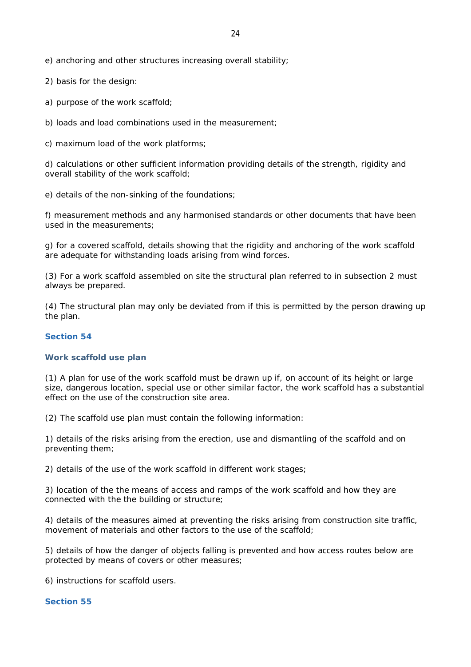e) anchoring and other structures increasing overall stability;

2) basis for the design:

a) purpose of the work scaffold;

b) loads and load combinations used in the measurement;

c) maximum load of the work platforms;

d) calculations or other sufficient information providing details of the strength, rigidity and overall stability of the work scaffold;

e) details of the non-sinking of the foundations;

f) measurement methods and any harmonised standards or other documents that have been used in the measurements;

g) for a covered scaffold, details showing that the rigidity and anchoring of the work scaffold are adequate for withstanding loads arising from wind forces.

(3) For a work scaffold assembled on site the structural plan referred to in subsection 2 must always be prepared.

(4) The structural plan may only be deviated from if this is permitted by the person drawing up the plan.

### **Section 54**

#### **Work scaffold use plan**

(1) A plan for use of the work scaffold must be drawn up if, on account of its height or large size, dangerous location, special use or other similar factor, the work scaffold has a substantial effect on the use of the construction site area.

(2) The scaffold use plan must contain the following information:

1) details of the risks arising from the erection, use and dismantling of the scaffold and on preventing them;

2) details of the use of the work scaffold in different work stages;

3) location of the the means of access and ramps of the work scaffold and how they are connected with the the building or structure;

4) details of the measures aimed at preventing the risks arising from construction site traffic, movement of materials and other factors to the use of the scaffold;

5) details of how the danger of objects falling is prevented and how access routes below are protected by means of covers or other measures;

6) instructions for scaffold users.

#### **Section 55**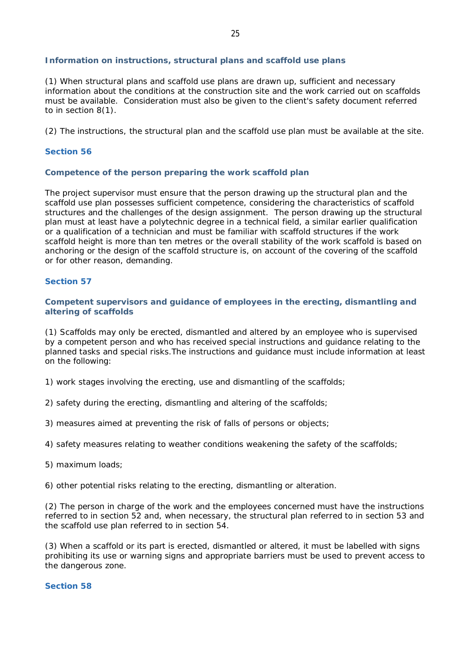### **Information on instructions, structural plans and scaffold use plans**

(1) When structural plans and scaffold use plans are drawn up, sufficient and necessary information about the conditions at the construction site and the work carried out on scaffolds must be available. Consideration must also be given to the client's safety document referred to in section 8(1).

(2) The instructions, the structural plan and the scaffold use plan must be available at the site.

## **Section 56**

### **Competence of the person preparing the work scaffold plan**

The project supervisor must ensure that the person drawing up the structural plan and the scaffold use plan possesses sufficient competence, considering the characteristics of scaffold structures and the challenges of the design assignment. The person drawing up the structural plan must at least have a polytechnic degree in a technical field, a similar earlier qualification or a qualification of a technician and must be familiar with scaffold structures if the work scaffold height is more than ten metres or the overall stability of the work scaffold is based on anchoring or the design of the scaffold structure is, on account of the covering of the scaffold or for other reason, demanding.

### **Section 57**

**Competent supervisors and guidance of employees in the erecting, dismantling and altering of scaffolds**

(1) Scaffolds may only be erected, dismantled and altered by an employee who is supervised by a competent person and who has received special instructions and guidance relating to the planned tasks and special risks.The instructions and guidance must include information at least on the following:

1) work stages involving the erecting, use and dismantling of the scaffolds;

2) safety during the erecting, dismantling and altering of the scaffolds;

3) measures aimed at preventing the risk of falls of persons or objects;

4) safety measures relating to weather conditions weakening the safety of the scaffolds;

5) maximum loads;

6) other potential risks relating to the erecting, dismantling or alteration.

(2) The person in charge of the work and the employees concerned must have the instructions referred to in section 52 and, when necessary, the structural plan referred to in section 53 and the scaffold use plan referred to in section 54.

(3) When a scaffold or its part is erected, dismantled or altered, it must be labelled with signs prohibiting its use or warning signs and appropriate barriers must be used to prevent access to the dangerous zone.

### **Section 58**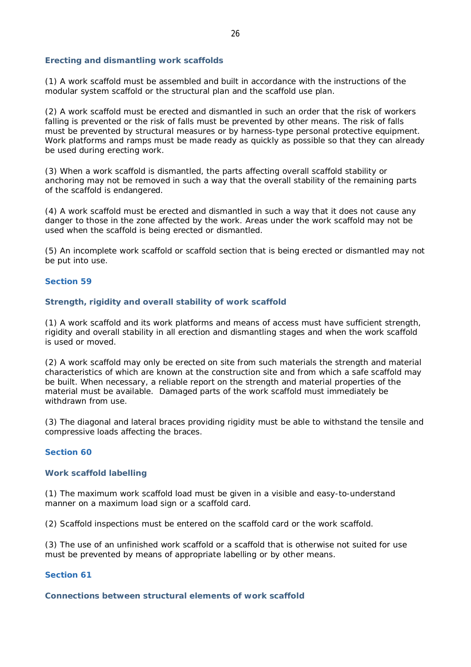### **Erecting and dismantling work scaffolds**

(1) A work scaffold must be assembled and built in accordance with the instructions of the modular system scaffold or the structural plan and the scaffold use plan.

(2) A work scaffold must be erected and dismantled in such an order that the risk of workers falling is prevented or the risk of falls must be prevented by other means. The risk of falls must be prevented by structural measures or by harness-type personal protective equipment. Work platforms and ramps must be made ready as quickly as possible so that they can already be used during erecting work.

(3) When a work scaffold is dismantled, the parts affecting overall scaffold stability or anchoring may not be removed in such a way that the overall stability of the remaining parts of the scaffold is endangered.

(4) A work scaffold must be erected and dismantled in such a way that it does not cause any danger to those in the zone affected by the work. Areas under the work scaffold may not be used when the scaffold is being erected or dismantled.

(5) An incomplete work scaffold or scaffold section that is being erected or dismantled may not be put into use.

### **Section 59**

### **Strength, rigidity and overall stability of work scaffold**

(1) A work scaffold and its work platforms and means of access must have sufficient strength, rigidity and overall stability in all erection and dismantling stages and when the work scaffold is used or moved.

(2) A work scaffold may only be erected on site from such materials the strength and material characteristics of which are known at the construction site and from which a safe scaffold may be built. When necessary, a reliable report on the strength and material properties of the material must be available. Damaged parts of the work scaffold must immediately be withdrawn from use.

(3) The diagonal and lateral braces providing rigidity must be able to withstand the tensile and compressive loads affecting the braces.

#### **Section 60**

### **Work scaffold labelling**

(1) The maximum work scaffold load must be given in a visible and easy-to-understand manner on a maximum load sign or a scaffold card.

(2) Scaffold inspections must be entered on the scaffold card or the work scaffold.

(3) The use of an unfinished work scaffold or a scaffold that is otherwise not suited for use must be prevented by means of appropriate labelling or by other means.

#### **Section 61**

**Connections between structural elements of work scaffold**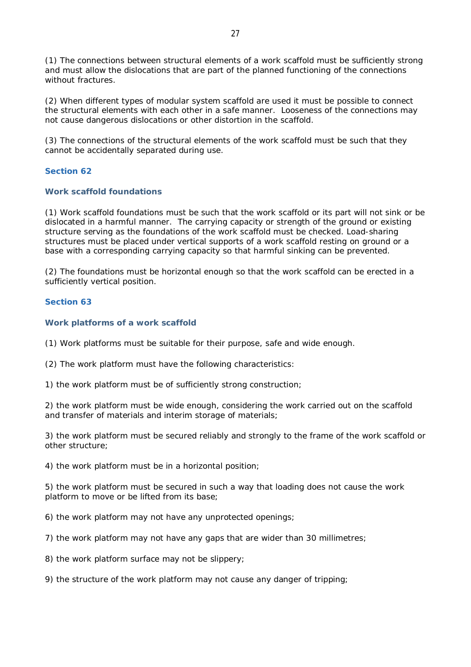(1) The connections between structural elements of a work scaffold must be sufficiently strong and must allow the dislocations that are part of the planned functioning of the connections without fractures.

(2) When different types of modular system scaffold are used it must be possible to connect the structural elements with each other in a safe manner. Looseness of the connections may not cause dangerous dislocations or other distortion in the scaffold.

(3) The connections of the structural elements of the work scaffold must be such that they cannot be accidentally separated during use.

## **Section 62**

## **Work scaffold foundations**

(1) Work scaffold foundations must be such that the work scaffold or its part will not sink or be dislocated in a harmful manner. The carrying capacity or strength of the ground or existing structure serving as the foundations of the work scaffold must be checked. Load-sharing structures must be placed under vertical supports of a work scaffold resting on ground or a base with a corresponding carrying capacity so that harmful sinking can be prevented.

(2) The foundations must be horizontal enough so that the work scaffold can be erected in a sufficiently vertical position.

## **Section 63**

**Work platforms of a work scaffold**

(1) Work platforms must be suitable for their purpose, safe and wide enough.

(2) The work platform must have the following characteristics:

1) the work platform must be of sufficiently strong construction;

2) the work platform must be wide enough, considering the work carried out on the scaffold and transfer of materials and interim storage of materials;

3) the work platform must be secured reliably and strongly to the frame of the work scaffold or other structure;

4) the work platform must be in a horizontal position;

5) the work platform must be secured in such a way that loading does not cause the work platform to move or be lifted from its base;

6) the work platform may not have any unprotected openings;

7) the work platform may not have any gaps that are wider than 30 millimetres;

8) the work platform surface may not be slippery;

9) the structure of the work platform may not cause any danger of tripping;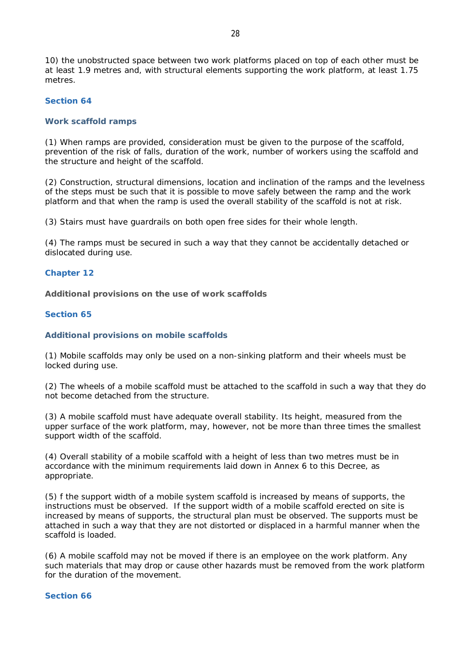10) the unobstructed space between two work platforms placed on top of each other must be at least 1.9 metres and, with structural elements supporting the work platform, at least 1.75 metres.

### **Section 64**

#### **Work scaffold ramps**

(1) When ramps are provided, consideration must be given to the purpose of the scaffold, prevention of the risk of falls, duration of the work, number of workers using the scaffold and the structure and height of the scaffold.

(2) Construction, structural dimensions, location and inclination of the ramps and the levelness of the steps must be such that it is possible to move safely between the ramp and the work platform and that when the ramp is used the overall stability of the scaffold is not at risk.

(3) Stairs must have guardrails on both open free sides for their whole length.

(4) The ramps must be secured in such a way that they cannot be accidentally detached or dislocated during use.

#### **Chapter 12**

**Additional provisions on the use of work scaffolds**

#### **Section 65**

#### **Additional provisions on mobile scaffolds**

(1) Mobile scaffolds may only be used on a non-sinking platform and their wheels must be locked during use.

(2) The wheels of a mobile scaffold must be attached to the scaffold in such a way that they do not become detached from the structure.

(3) A mobile scaffold must have adequate overall stability. Its height, measured from the upper surface of the work platform, may, however, not be more than three times the smallest support width of the scaffold.

(4) Overall stability of a mobile scaffold with a height of less than two metres must be in accordance with the minimum requirements laid down in Annex 6 to this Decree, as appropriate.

(5) f the support width of a mobile system scaffold is increased by means of supports, the instructions must be observed. If the support width of a mobile scaffold erected on site is increased by means of supports, the structural plan must be observed. The supports must be attached in such a way that they are not distorted or displaced in a harmful manner when the scaffold is loaded.

(6) A mobile scaffold may not be moved if there is an employee on the work platform. Any such materials that may drop or cause other hazards must be removed from the work platform for the duration of the movement.

### **Section 66**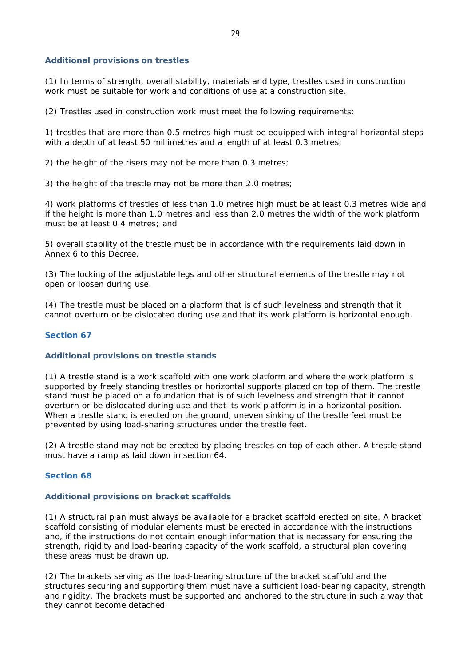### **Additional provisions on trestles**

(1) In terms of strength, overall stability, materials and type, trestles used in construction work must be suitable for work and conditions of use at a construction site.

(2) Trestles used in construction work must meet the following requirements:

1) trestles that are more than 0.5 metres high must be equipped with integral horizontal steps with a depth of at least 50 millimetres and a length of at least 0.3 metres;

2) the height of the risers may not be more than 0.3 metres;

3) the height of the trestle may not be more than 2.0 metres;

4) work platforms of trestles of less than 1.0 metres high must be at least 0.3 metres wide and if the height is more than 1.0 metres and less than 2.0 metres the width of the work platform must be at least 0.4 metres; and

5) overall stability of the trestle must be in accordance with the requirements laid down in Annex 6 to this Decree.

(3) The locking of the adjustable legs and other structural elements of the trestle may not open or loosen during use.

(4) The trestle must be placed on a platform that is of such levelness and strength that it cannot overturn or be dislocated during use and that its work platform is horizontal enough.

#### **Section 67**

#### **Additional provisions on trestle stands**

(1) A trestle stand is a work scaffold with one work platform and where the work platform is supported by freely standing trestles or horizontal supports placed on top of them. The trestle stand must be placed on a foundation that is of such levelness and strength that it cannot overturn or be dislocated during use and that its work platform is in a horizontal position. When a trestle stand is erected on the ground, uneven sinking of the trestle feet must be prevented by using load-sharing structures under the trestle feet.

(2) A trestle stand may not be erected by placing trestles on top of each other. A trestle stand must have a ramp as laid down in section 64.

#### **Section 68**

#### **Additional provisions on bracket scaffolds**

(1) A structural plan must always be available for a bracket scaffold erected on site. A bracket scaffold consisting of modular elements must be erected in accordance with the instructions and, if the instructions do not contain enough information that is necessary for ensuring the strength, rigidity and load-bearing capacity of the work scaffold, a structural plan covering these areas must be drawn up.

(2) The brackets serving as the load-bearing structure of the bracket scaffold and the structures securing and supporting them must have a sufficient load-bearing capacity, strength and rigidity. The brackets must be supported and anchored to the structure in such a way that they cannot become detached.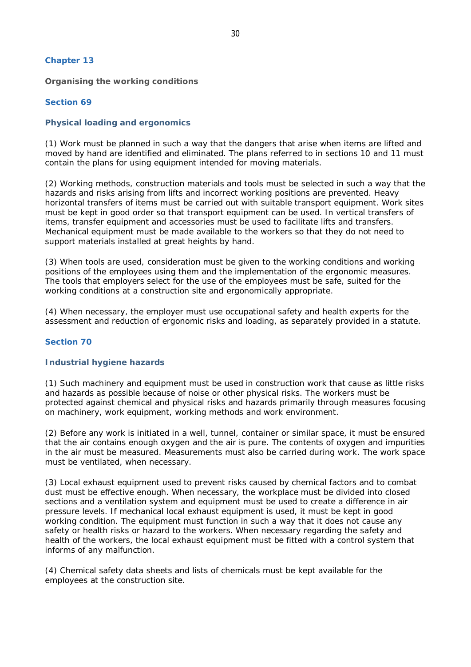### **Chapter 13**

**Organising the working conditions**

### **Section 69**

### **Physical loading and ergonomics**

(1) Work must be planned in such a way that the dangers that arise when items are lifted and moved by hand are identified and eliminated. The plans referred to in sections 10 and 11 must contain the plans for using equipment intended for moving materials.

(2) Working methods, construction materials and tools must be selected in such a way that the hazards and risks arising from lifts and incorrect working positions are prevented. Heavy horizontal transfers of items must be carried out with suitable transport equipment. Work sites must be kept in good order so that transport equipment can be used. In vertical transfers of items, transfer equipment and accessories must be used to facilitate lifts and transfers. Mechanical equipment must be made available to the workers so that they do not need to support materials installed at great heights by hand.

(3) When tools are used, consideration must be given to the working conditions and working positions of the employees using them and the implementation of the ergonomic measures. The tools that employers select for the use of the employees must be safe, suited for the working conditions at a construction site and ergonomically appropriate.

(4) When necessary, the employer must use occupational safety and health experts for the assessment and reduction of ergonomic risks and loading, as separately provided in a statute.

# **Section 70**

### **Industrial hygiene hazards**

(1) Such machinery and equipment must be used in construction work that cause as little risks and hazards as possible because of noise or other physical risks. The workers must be protected against chemical and physical risks and hazards primarily through measures focusing on machinery, work equipment, working methods and work environment.

(2) Before any work is initiated in a well, tunnel, container or similar space, it must be ensured that the air contains enough oxygen and the air is pure. The contents of oxygen and impurities in the air must be measured. Measurements must also be carried during work. The work space must be ventilated, when necessary.

(3) Local exhaust equipment used to prevent risks caused by chemical factors and to combat dust must be effective enough. When necessary, the workplace must be divided into closed sections and a ventilation system and equipment must be used to create a difference in air pressure levels. If mechanical local exhaust equipment is used, it must be kept in good working condition. The equipment must function in such a way that it does not cause any safety or health risks or hazard to the workers. When necessary regarding the safety and health of the workers, the local exhaust equipment must be fitted with a control system that informs of any malfunction.

(4) Chemical safety data sheets and lists of chemicals must be kept available for the employees at the construction site.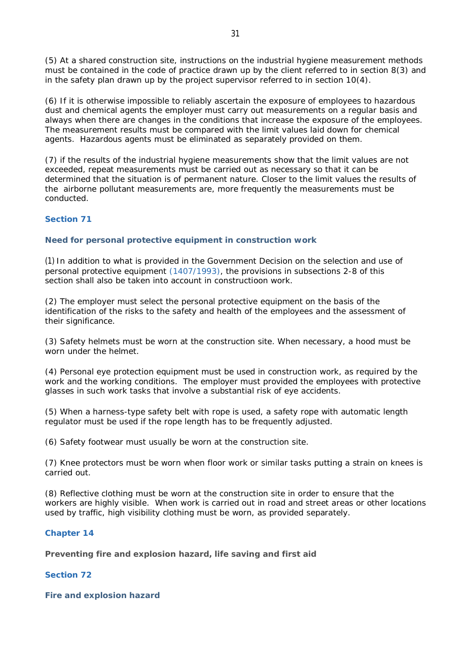(5) At a shared construction site, instructions on the industrial hygiene measurement methods must be contained in the code of practice drawn up by the client referred to in section 8(3) and in the safety plan drawn up by the project supervisor referred to in section 10(4).

(6) If it is otherwise impossible to reliably ascertain the exposure of employees to hazardous dust and chemical agents the employer must carry out measurements on a regular basis and always when there are changes in the conditions that increase the exposure of the employees. The measurement results must be compared with the limit values laid down for chemical agents. Hazardous agents must be eliminated as separately provided on them.

(7) if the results of the industrial hygiene measurements show that the limit values are not exceeded, repeat measurements must be carried out as necessary so that it can be determined that the situation is of permanent nature. Closer to the limit values the results of the airborne pollutant measurements are, more frequently the measurements must be conducted.

# **Section 71**

**Need for personal protective equipment in construction work**

(1) In addition to what is provided in the Government Decision on the selection and use of personal protective equipment (1407/1993), the provisions in subsections 2-8 of this section shall also be taken into account in constructioon work.

(2) The employer must select the personal protective equipment on the basis of the identification of the risks to the safety and health of the employees and the assessment of their significance.

(3) Safety helmets must be worn at the construction site. When necessary, a hood must be worn under the helmet.

(4) Personal eye protection equipment must be used in construction work, as required by the work and the working conditions. The employer must provided the employees with protective glasses in such work tasks that involve a substantial risk of eye accidents.

(5) When a harness-type safety belt with rope is used, a safety rope with automatic length regulator must be used if the rope length has to be frequently adjusted.

(6) Safety footwear must usually be worn at the construction site.

(7) Knee protectors must be worn when floor work or similar tasks putting a strain on knees is carried out.

(8) Reflective clothing must be worn at the construction site in order to ensure that the workers are highly visible. When work is carried out in road and street areas or other locations used by traffic, high visibility clothing must be worn, as provided separately.

## **Chapter 14**

**Preventing fire and explosion hazard, life saving and first aid**

## **Section 72**

**Fire and explosion hazard**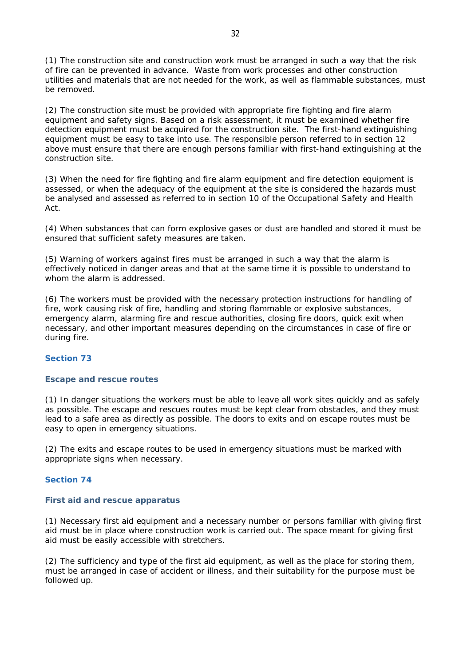(1) The construction site and construction work must be arranged in such a way that the risk of fire can be prevented in advance. Waste from work processes and other construction utilities and materials that are not needed for the work, as well as flammable substances, must be removed.

(2) The construction site must be provided with appropriate fire fighting and fire alarm equipment and safety signs. Based on a risk assessment, it must be examined whether fire detection equipment must be acquired for the construction site. The first-hand extinguishing equipment must be easy to take into use. The responsible person referred to in section 12 above must ensure that there are enough persons familiar with first-hand extinguishing at the construction site.

(3) When the need for fire fighting and fire alarm equipment and fire detection equipment is assessed, or when the adequacy of the equipment at the site is considered the hazards must be analysed and assessed as referred to in section 10 of the Occupational Safety and Health Act.

(4) When substances that can form explosive gases or dust are handled and stored it must be ensured that sufficient safety measures are taken.

(5) Warning of workers against fires must be arranged in such a way that the alarm is effectively noticed in danger areas and that at the same time it is possible to understand to whom the alarm is addressed.

(6) The workers must be provided with the necessary protection instructions for handling of fire, work causing risk of fire, handling and storing flammable or explosive substances, emergency alarm, alarming fire and rescue authorities, closing fire doors, quick exit when necessary, and other important measures depending on the circumstances in case of fire or during fire.

## **Section 73**

## **Escape and rescue routes**

(1) In danger situations the workers must be able to leave all work sites quickly and as safely as possible. The escape and rescues routes must be kept clear from obstacles, and they must lead to a safe area as directly as possible. The doors to exits and on escape routes must be easy to open in emergency situations.

(2) The exits and escape routes to be used in emergency situations must be marked with appropriate signs when necessary.

## **Section 74**

#### **First aid and rescue apparatus**

(1) Necessary first aid equipment and a necessary number or persons familiar with giving first aid must be in place where construction work is carried out. The space meant for giving first aid must be easily accessible with stretchers.

(2) The sufficiency and type of the first aid equipment, as well as the place for storing them, must be arranged in case of accident or illness, and their suitability for the purpose must be followed up.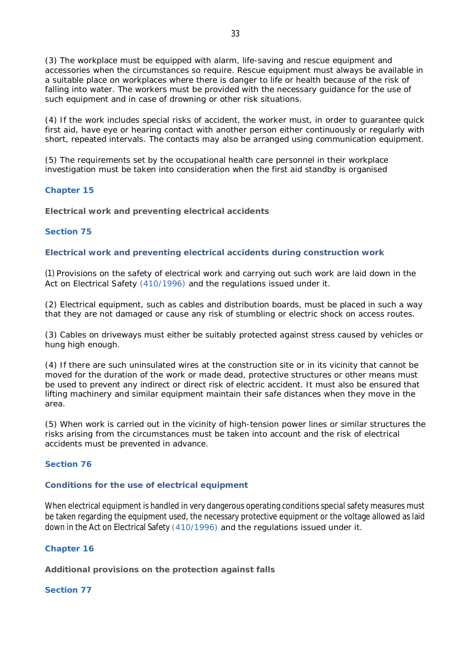(3) The workplace must be equipped with alarm, life-saving and rescue equipment and accessories when the circumstances so require. Rescue equipment must always be available in a suitable place on workplaces where there is danger to life or health because of the risk of falling into water. The workers must be provided with the necessary guidance for the use of such equipment and in case of drowning or other risk situations.

(4) If the work includes special risks of accident, the worker must, in order to guarantee quick first aid, have eye or hearing contact with another person either continuously or regularly with short, repeated intervals. The contacts may also be arranged using communication equipment.

(5) The requirements set by the occupational health care personnel in their workplace investigation must be taken into consideration when the first aid standby is organised

# **Chapter 15**

**Electrical work and preventing electrical accidents**

# **Section 75**

**Electrical work and preventing electrical accidents during construction work**

(1) Provisions on the safety of electrical work and carrying out such work are laid down in the Act on Electrical Safety (410/1996) and the regulations issued under it.

(2) Electrical equipment, such as cables and distribution boards, must be placed in such a way that they are not damaged or cause any risk of stumbling or electric shock on access routes.

(3) Cables on driveways must either be suitably protected against stress caused by vehicles or hung high enough.

(4) If there are such uninsulated wires at the construction site or in its vicinity that cannot be moved for the duration of the work or made dead, protective structures or other means must be used to prevent any indirect or direct risk of electric accident. It must also be ensured that lifting machinery and similar equipment maintain their safe distances when they move in the area.

(5) When work is carried out in the vicinity of high-tension power lines or similar structures the risks arising from the circumstances must be taken into account and the risk of electrical accidents must be prevented in advance.

## **Section 76**

## **Conditions for the use of electrical equipment**

When electrical equipment is handled in very dangerous operating conditions special safety measures must be taken regarding the equipment used, the necessary protective equipment or the voltage allowed as laid down in the Act on Electrical Safety (410/1996) and the regulations issued under it.

## **Chapter 16**

**Additional provisions on the protection against falls**

# **Section 77**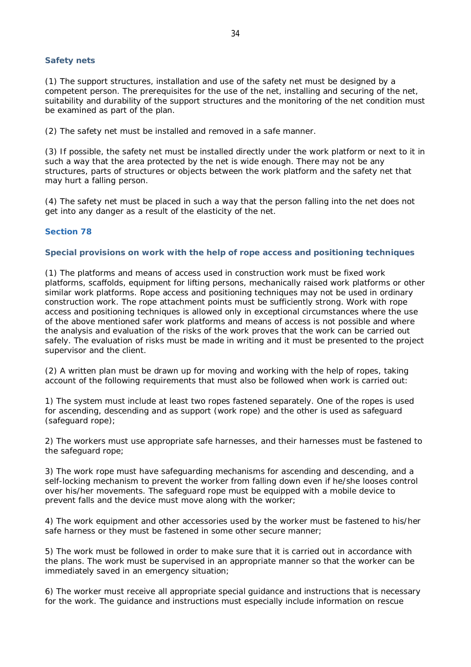### **Safety nets**

(1) The support structures, installation and use of the safety net must be designed by a competent person. The prerequisites for the use of the net, installing and securing of the net, suitability and durability of the support structures and the monitoring of the net condition must be examined as part of the plan.

(2) The safety net must be installed and removed in a safe manner.

(3) If possible, the safety net must be installed directly under the work platform or next to it in such a way that the area protected by the net is wide enough. There may not be any structures, parts of structures or objects between the work platform and the safety net that may hurt a falling person.

(4) The safety net must be placed in such a way that the person falling into the net does not get into any danger as a result of the elasticity of the net.

### **Section 78**

#### **Special provisions on work with the help of rope access and positioning techniques**

(1) The platforms and means of access used in construction work must be fixed work platforms, scaffolds, equipment for lifting persons, mechanically raised work platforms or other similar work platforms. Rope access and positioning techniques may not be used in ordinary construction work. The rope attachment points must be sufficiently strong. Work with rope access and positioning techniques is allowed only in exceptional circumstances where the use of the above mentioned safer work platforms and means of access is not possible and where the analysis and evaluation of the risks of the work proves that the work can be carried out safely. The evaluation of risks must be made in writing and it must be presented to the project supervisor and the client.

(2) A written plan must be drawn up for moving and working with the help of ropes, taking account of the following requirements that must also be followed when work is carried out:

1) The system must include at least two ropes fastened separately. One of the ropes is used for ascending, descending and as support (work rope) and the other is used as safeguard (safeguard rope);

2) The workers must use appropriate safe harnesses, and their harnesses must be fastened to the safeguard rope;

3) The work rope must have safeguarding mechanisms for ascending and descending, and a self-locking mechanism to prevent the worker from falling down even if he/she looses control over his/her movements. The safeguard rope must be equipped with a mobile device to prevent falls and the device must move along with the worker;

4) The work equipment and other accessories used by the worker must be fastened to his/her safe harness or they must be fastened in some other secure manner;

5) The work must be followed in order to make sure that it is carried out in accordance with the plans. The work must be supervised in an appropriate manner so that the worker can be immediately saved in an emergency situation;

6) The worker must receive all appropriate special guidance and instructions that is necessary for the work. The guidance and instructions must especially include information on rescue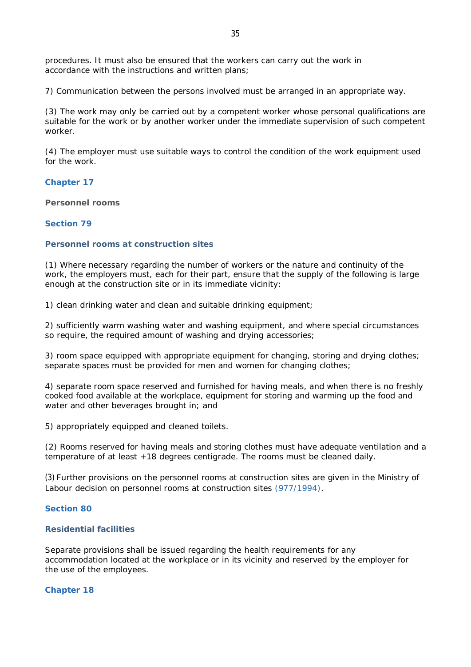procedures. It must also be ensured that the workers can carry out the work in accordance with the instructions and written plans;

7) Communication between the persons involved must be arranged in an appropriate way.

(3) The work may only be carried out by a competent worker whose personal qualifications are suitable for the work or by another worker under the immediate supervision of such competent worker.

(4) The employer must use suitable ways to control the condition of the work equipment used for the work.

**Chapter 17**

**Personnel rooms**

### **Section 79**

### **Personnel rooms at construction sites**

(1) Where necessary regarding the number of workers or the nature and continuity of the work, the employers must, each for their part, ensure that the supply of the following is large enough at the construction site or in its immediate vicinity:

1) clean drinking water and clean and suitable drinking equipment;

2) sufficiently warm washing water and washing equipment, and where special circumstances so require, the required amount of washing and drying accessories;

3) room space equipped with appropriate equipment for changing, storing and drying clothes; separate spaces must be provided for men and women for changing clothes;

4) separate room space reserved and furnished for having meals, and when there is no freshly cooked food available at the workplace, equipment for storing and warming up the food and water and other beverages brought in; and

5) appropriately equipped and cleaned toilets.

(2) Rooms reserved for having meals and storing clothes must have adequate ventilation and a temperature of at least +18 degrees centigrade. The rooms must be cleaned daily.

(3) Further provisions on the personnel rooms at construction sites are given in the Ministry of Labour decision on personnel rooms at construction sites (977/1994).

### **Section 80**

#### **Residential facilities**

Separate provisions shall be issued regarding the health requirements for any accommodation located at the workplace or in its vicinity and reserved by the employer for the use of the employees.

#### **Chapter 18**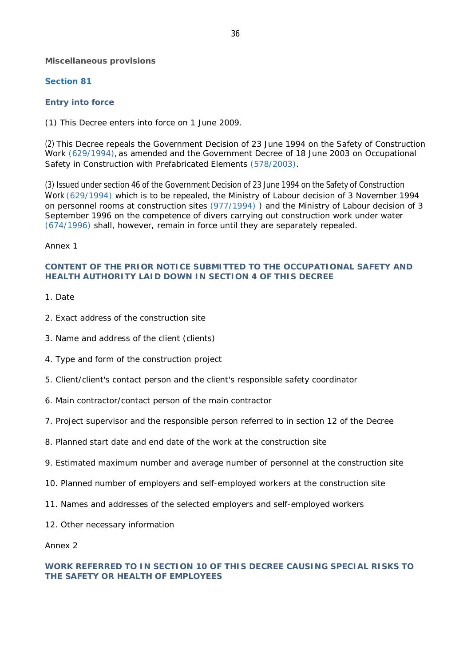**Miscellaneous provisions**

# **Section 81**

# **Entry into force**

(1) This Decree enters into force on 1 June 2009.

(2) This Decree repeals the Government Decision of 23 June 1994 on the Safety of Construction Work (629/1994), as amended and the Government Decree of 18 June 2003 on Occupational Safety in Construction with Prefabricated Elements (578/2003).

(3) Issued under section 46 of the Government Decision of 23 June 1994 on the Safety of Construction Work (629/1994) which is to be repealed, the Ministry of Labour decision of 3 November 1994 on personnel rooms at construction sites (977/1994) ) and the Ministry of Labour decision of 3 September 1996 on the competence of divers carrying out construction work under water (674/1996) shall, however, remain in force until they are separately repealed.

# *Annex 1*

# **CONTENT OF THE PRIOR NOTICE SUBMITTED TO THE OCCUPATIONAL SAFETY AND HEALTH AUTHORITY LAID DOWN IN SECTION 4 OF THIS DECREE**

- 1. Date
- 2. Exact address of the construction site
- 3. Name and address of the client (clients)
- 4. Type and form of the construction project
- 5. Client/client's contact person and the client's responsible safety coordinator
- 6. Main contractor/contact person of the main contractor
- 7. Project supervisor and the responsible person referred to in section 12 of the Decree
- 8. Planned start date and end date of the work at the construction site
- 9. Estimated maximum number and average number of personnel at the construction site
- 10. Planned number of employers and self-employed workers at the construction site
- 11. Names and addresses of the selected employers and self-employed workers
- 12. Other necessary information

## *Annex 2*

# **WORK REFERRED TO IN SECTION 10 OF THIS DECREE CAUSING SPECIAL RISKS TO THE SAFETY OR HEALTH OF EMPLOYEES**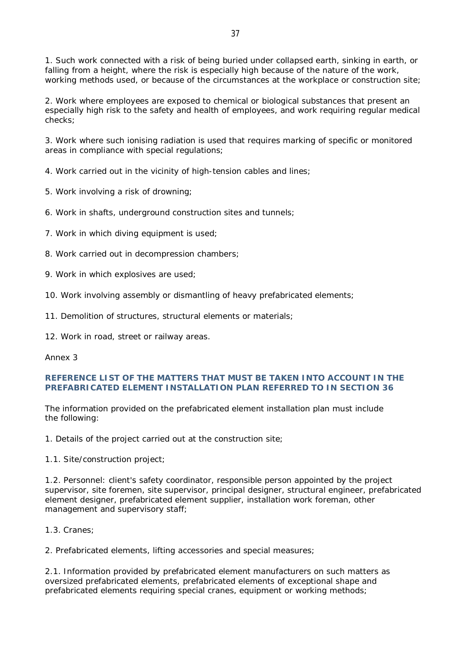2. Work where employees are exposed to chemical or biological substances that present an especially high risk to the safety and health of employees, and work requiring regular medical checks;

3. Work where such ionising radiation is used that requires marking of specific or monitored areas in compliance with special regulations;

- 4. Work carried out in the vicinity of high-tension cables and lines;
- 5. Work involving a risk of drowning;
- 6. Work in shafts, underground construction sites and tunnels;
- 7. Work in which diving equipment is used;
- 8. Work carried out in decompression chambers;
- 9. Work in which explosives are used;
- 10. Work involving assembly or dismantling of heavy prefabricated elements;
- 11. Demolition of structures, structural elements or materials;
- 12. Work in road, street or railway areas.

## *Annex 3*

## **REFERENCE LIST OF THE MATTERS THAT MUST BE TAKEN INTO ACCOUNT IN THE PREFABRICATED ELEMENT INSTALLATION PLAN REFERRED TO IN SECTION 36**

The information provided on the prefabricated element installation plan must include the following:

1. Details of the project carried out at the construction site;

1.1. Site/construction project;

1.2. Personnel: client's safety coordinator, responsible person appointed by the project supervisor, site foremen, site supervisor, principal designer, structural engineer, prefabricated element designer, prefabricated element supplier, installation work foreman, other management and supervisory staff;

1.3. Cranes;

2. Prefabricated elements, lifting accessories and special measures;

2.1. Information provided by prefabricated element manufacturers on such matters as oversized prefabricated elements, prefabricated elements of exceptional shape and prefabricated elements requiring special cranes, equipment or working methods;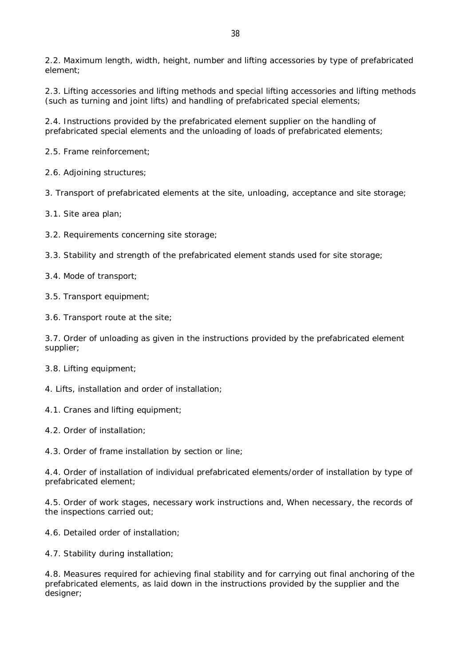2.2. Maximum length, width, height, number and lifting accessories by type of prefabricated element;

2.3. Lifting accessories and lifting methods and special lifting accessories and lifting methods (such as turning and joint lifts) and handling of prefabricated special elements;

2.4. Instructions provided by the prefabricated element supplier on the handling of prefabricated special elements and the unloading of loads of prefabricated elements;

2.5. Frame reinforcement;

2.6. Adjoining structures;

3. Transport of prefabricated elements at the site, unloading, acceptance and site storage;

3.1. Site area plan;

3.2. Requirements concerning site storage;

3.3. Stability and strength of the prefabricated element stands used for site storage;

3.4. Mode of transport;

3.5. Transport equipment;

3.6. Transport route at the site;

3.7. Order of unloading as given in the instructions provided by the prefabricated element supplier;

3.8. Lifting equipment;

4. Lifts, installation and order of installation;

4.1. Cranes and lifting equipment;

4.2. Order of installation;

4.3. Order of frame installation by section or line;

4.4. Order of installation of individual prefabricated elements/order of installation by type of prefabricated element;

4.5. Order of work stages, necessary work instructions and, When necessary, the records of the inspections carried out;

4.6. Detailed order of installation;

4.7. Stability during installation;

4.8. Measures required for achieving final stability and for carrying out final anchoring of the prefabricated elements, as laid down in the instructions provided by the supplier and the designer;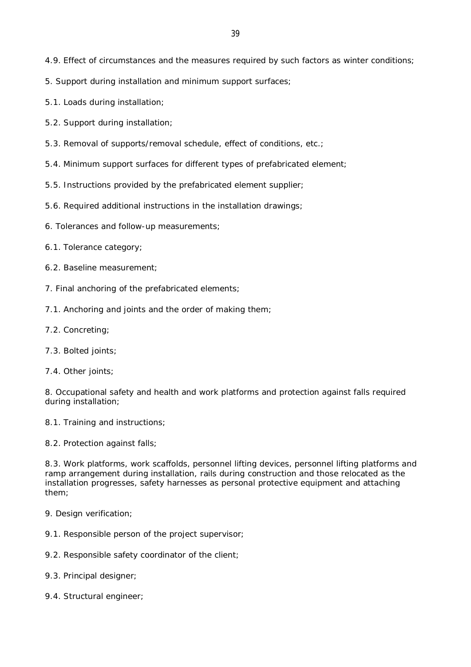- 4.9. Effect of circumstances and the measures required by such factors as winter conditions;
- 5. Support during installation and minimum support surfaces;
- 5.1. Loads during installation;
- 5.2. Support during installation;
- 5.3. Removal of supports/removal schedule, effect of conditions, etc.;
- 5.4. Minimum support surfaces for different types of prefabricated element;
- 5.5. Instructions provided by the prefabricated element supplier;
- 5.6. Required additional instructions in the installation drawings;
- 6. Tolerances and follow-up measurements;
- 6.1. Tolerance category;
- 6.2. Baseline measurement;
- 7. Final anchoring of the prefabricated elements;
- 7.1. Anchoring and joints and the order of making them;
- 7.2. Concreting;
- 7.3. Bolted joints;
- 7.4. Other joints;

8. Occupational safety and health and work platforms and protection against falls required during installation;

- 8.1. Training and instructions;
- 8.2. Protection against falls;

8.3. Work platforms, work scaffolds, personnel lifting devices, personnel lifting platforms and ramp arrangement during installation, rails during construction and those relocated as the installation progresses, safety harnesses as personal protective equipment and attaching them;

- 9. Design verification:
- 9.1. Responsible person of the project supervisor;
- 9.2. Responsible safety coordinator of the client;
- 9.3. Principal designer;
- 9.4. Structural engineer;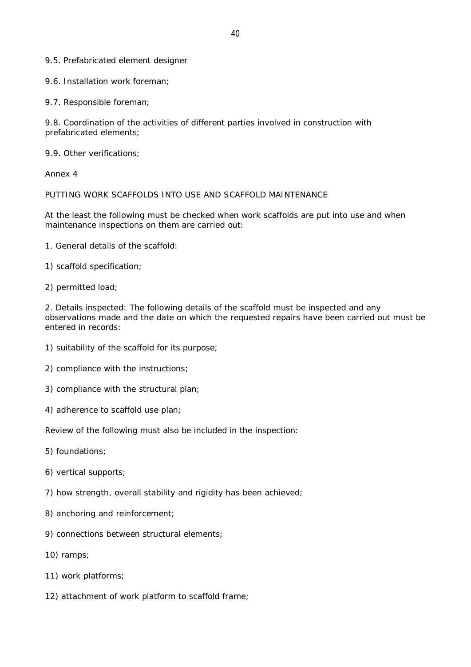9.5. Prefabricated element designer

9.6. Installation work foreman;

9.7. Responsible foreman;

9.8. Coordination of the activities of different parties involved in construction with prefabricated elements;

9.9. Other verifications;

*Annex 4*

PUTTING WORK SCAFFOLDS INTO USE AND SCAFFOLD MAINTENANCE

At the least the following must be checked when work scaffolds are put into use and when maintenance inspections on them are carried out:

- 1. General details of the scaffold:
- 1) scaffold specification;
- 2) permitted load;

2. Details inspected: The following details of the scaffold must be inspected and any observations made and the date on which the requested repairs have been carried out must be entered in records:

- 1) suitability of the scaffold for its purpose;
- 2) compliance with the instructions;
- 3) compliance with the structural plan;
- 4) adherence to scaffold use plan;

Review of the following must also be included in the inspection:

- 5) foundations;
- 6) vertical supports;
- 7) how strength, overall stability and rigidity has been achieved;
- 8) anchoring and reinforcement;
- 9) connections between structural elements;
- 10) ramps;
- 11) work platforms;
- 12) attachment of work platform to scaffold frame;